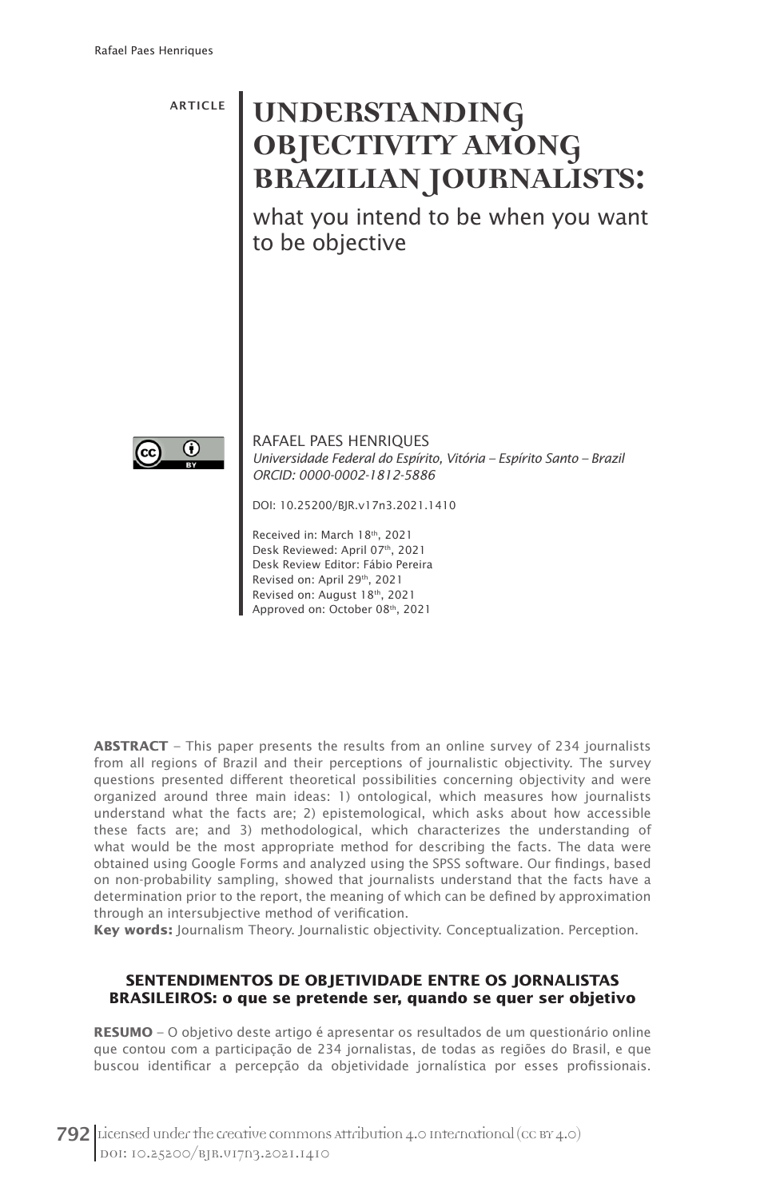ARTICLE

# UNDERSTANDING **OBJECTIVITY AMONG BRAZILIAN JOURNALISTS:**

what you intend to be when you want to be objective



RAFAEL PAES HENRIQUES *Universidade Federal do Espírito, Vitória – Espírito Santo – Brazil ORCID: 0000-0002-1812-5886*

DOI: 10.25200/BJR.v17n3.2021.1410

Received in: March 18th, 2021 Desk Reviewed: April 07th, 2021 Desk Review Editor: Fábio Pereira Revised on: April 29<sup>th</sup>, 2021 Revised on: August 18th, 2021 Approved on: October 08th, 2021

**ABSTRACT** – This paper presents the results from an online survey of 234 journalists from all regions of Brazil and their perceptions of journalistic objectivity. The survey questions presented different theoretical possibilities concerning objectivity and were organized around three main ideas: 1) ontological, which measures how journalists understand what the facts are; 2) epistemological, which asks about how accessible these facts are; and 3) methodological, which characterizes the understanding of what would be the most appropriate method for describing the facts. The data were obtained using Google Forms and analyzed using the SPSS software. Our findings, based on non-probability sampling, showed that journalists understand that the facts have a determination prior to the report, the meaning of which can be defined by approximation through an intersubjective method of verification.

**Key words:** Journalism Theory. Journalistic objectivity. Conceptualization. Perception.

#### **SENTENDIMENTOS DE OBJETIVIDADE ENTRE OS JORNALISTAS BRASILEIROS: o que se pretende ser, quando se quer ser objetivo**

**RESUMO** – O objetivo deste artigo é apresentar os resultados de um questionário online que contou com a participação de 234 jornalistas, de todas as regiões do Brasil, e que buscou identificar a percepção da objetividade jornalística por esses profissionais.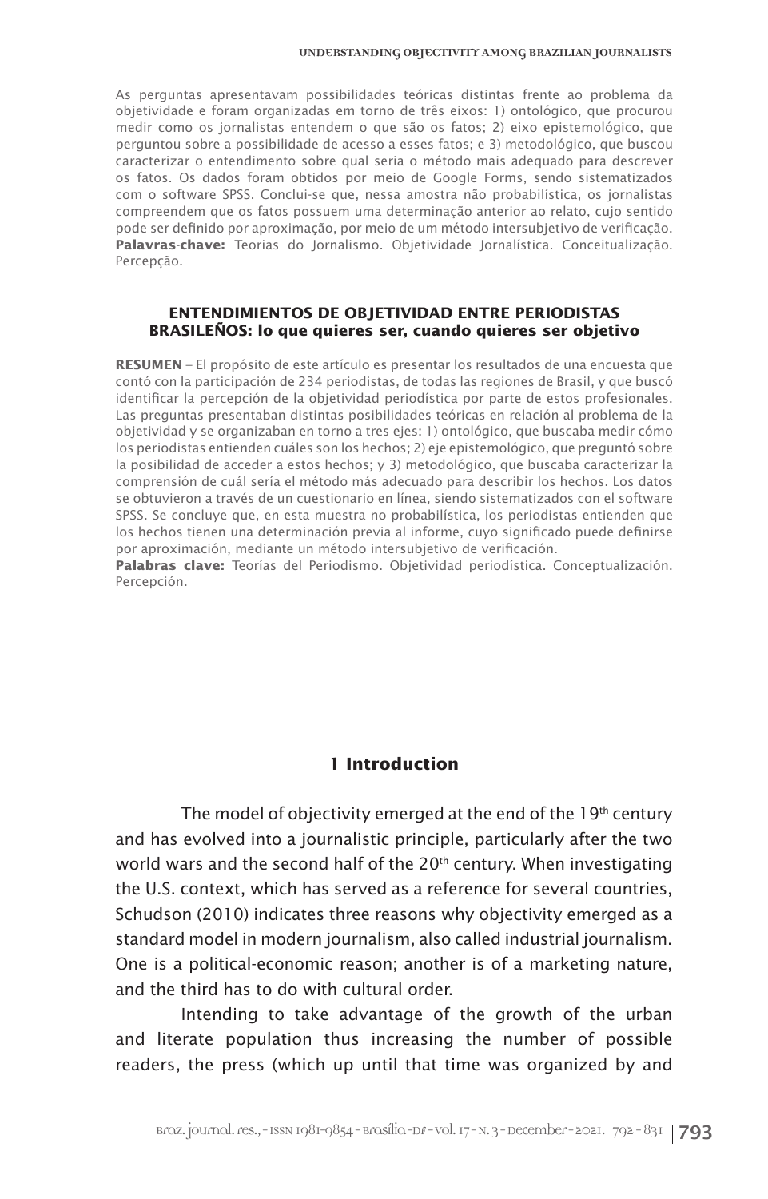As perguntas apresentavam possibilidades teóricas distintas frente ao problema da objetividade e foram organizadas em torno de três eixos: 1) ontológico, que procurou medir como os jornalistas entendem o que são os fatos; 2) eixo epistemológico, que perguntou sobre a possibilidade de acesso a esses fatos; e 3) metodológico, que buscou caracterizar o entendimento sobre qual seria o método mais adequado para descrever os fatos. Os dados foram obtidos por meio de Google Forms, sendo sistematizados com o software SPSS. Conclui-se que, nessa amostra não probabilística, os jornalistas compreendem que os fatos possuem uma determinação anterior ao relato, cujo sentido pode ser definido por aproximação, por meio de um método intersubjetivo de verificação. **Palavras-chave:** Teorias do Jornalismo. Objetividade Jornalística. Conceitualização. Percepção.

#### **ENTENDIMIENTOS DE OBJETIVIDAD ENTRE PERIODISTAS BRASILEÑOS: lo que quieres ser, cuando quieres ser objetivo**

**RESUMEN** – El propósito de este artículo es presentar los resultados de una encuesta que contó con la participación de 234 periodistas, de todas las regiones de Brasil, y que buscó identificar la percepción de la objetividad periodística por parte de estos profesionales. Las preguntas presentaban distintas posibilidades teóricas en relación al problema de la objetividad y se organizaban en torno a tres ejes: 1) ontológico, que buscaba medir cómo los periodistas entienden cuáles son los hechos; 2) eje epistemológico, que preguntó sobre la posibilidad de acceder a estos hechos; y 3) metodológico, que buscaba caracterizar la comprensión de cuál sería el método más adecuado para describir los hechos. Los datos se obtuvieron a través de un cuestionario en línea, siendo sistematizados con el software SPSS. Se concluye que, en esta muestra no probabilística, los periodistas entienden que los hechos tienen una determinación previa al informe, cuyo significado puede definirse por aproximación, mediante un método intersubjetivo de verificación.

**Palabras clave:** Teorías del Periodismo. Objetividad periodística. Conceptualización. Percepción.

#### **1 Introduction**

The model of objectivity emerged at the end of the 19<sup>th</sup> century and has evolved into a journalistic principle, particularly after the two world wars and the second half of the  $20<sup>th</sup>$  century. When investigating the U.S. context, which has served as a reference for several countries, Schudson (2010) indicates three reasons why objectivity emerged as a standard model in modern journalism, also called industrial journalism. One is a political-economic reason; another is of a marketing nature, and the third has to do with cultural order.

Intending to take advantage of the growth of the urban and literate population thus increasing the number of possible readers, the press (which up until that time was organized by and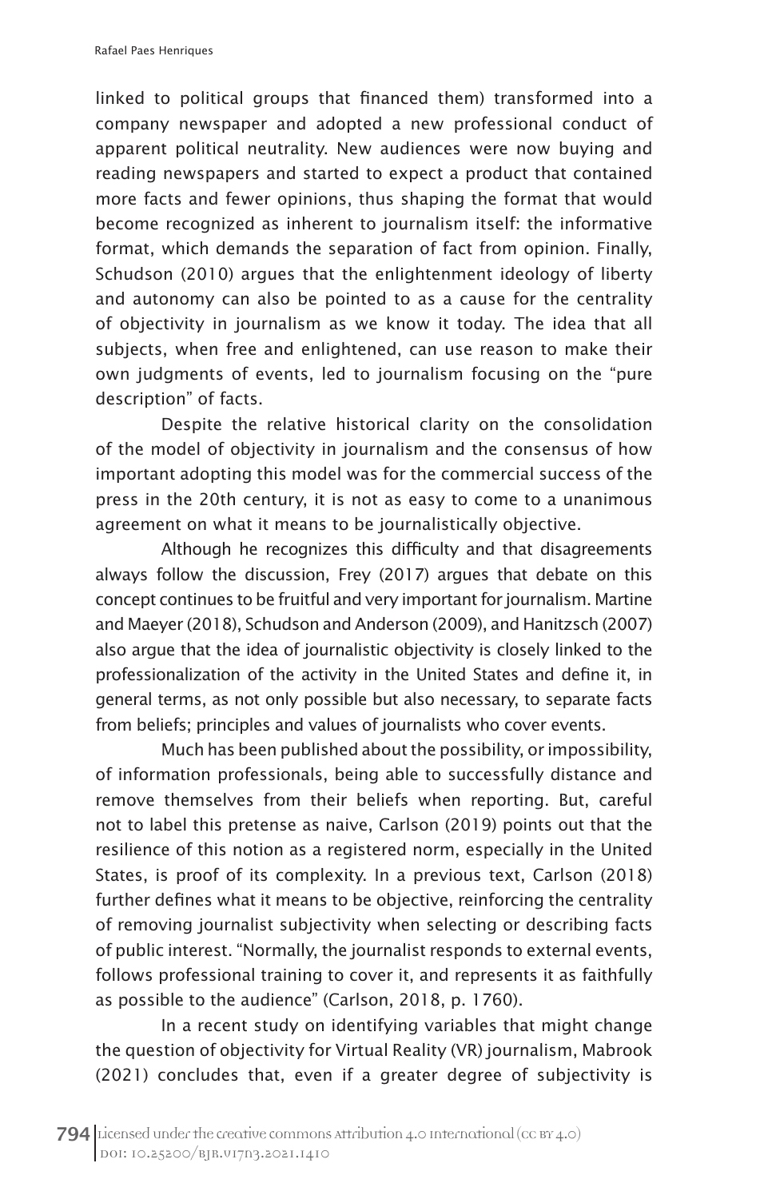linked to political groups that financed them) transformed into a company newspaper and adopted a new professional conduct of apparent political neutrality. New audiences were now buying and reading newspapers and started to expect a product that contained more facts and fewer opinions, thus shaping the format that would become recognized as inherent to journalism itself: the informative format, which demands the separation of fact from opinion. Finally, Schudson (2010) argues that the enlightenment ideology of liberty and autonomy can also be pointed to as a cause for the centrality of objectivity in journalism as we know it today. The idea that all subjects, when free and enlightened, can use reason to make their own judgments of events, led to journalism focusing on the "pure description" of facts.

Despite the relative historical clarity on the consolidation of the model of objectivity in journalism and the consensus of how important adopting this model was for the commercial success of the press in the 20th century, it is not as easy to come to a unanimous agreement on what it means to be journalistically objective.

Although he recognizes this difficulty and that disagreements always follow the discussion, Frey (2017) argues that debate on this concept continues to be fruitful and very important for journalism. Martine and Maeyer (2018), Schudson and Anderson (2009), and Hanitzsch (2007) also argue that the idea of journalistic objectivity is closely linked to the professionalization of the activity in the United States and define it, in general terms, as not only possible but also necessary, to separate facts from beliefs; principles and values of journalists who cover events.

Much has been published about the possibility, or impossibility, of information professionals, being able to successfully distance and remove themselves from their beliefs when reporting. But, careful not to label this pretense as naive, Carlson (2019) points out that the resilience of this notion as a registered norm, especially in the United States, is proof of its complexity. In a previous text, Carlson (2018) further defines what it means to be objective, reinforcing the centrality of removing journalist subjectivity when selecting or describing facts of public interest. "Normally, the journalist responds to external events, follows professional training to cover it, and represents it as faithfully as possible to the audience" (Carlson, 2018, p. 1760).

In a recent study on identifying variables that might change the question of objectivity for Virtual Reality (VR) journalism, Mabrook (2021) concludes that, even if a greater degree of subjectivity is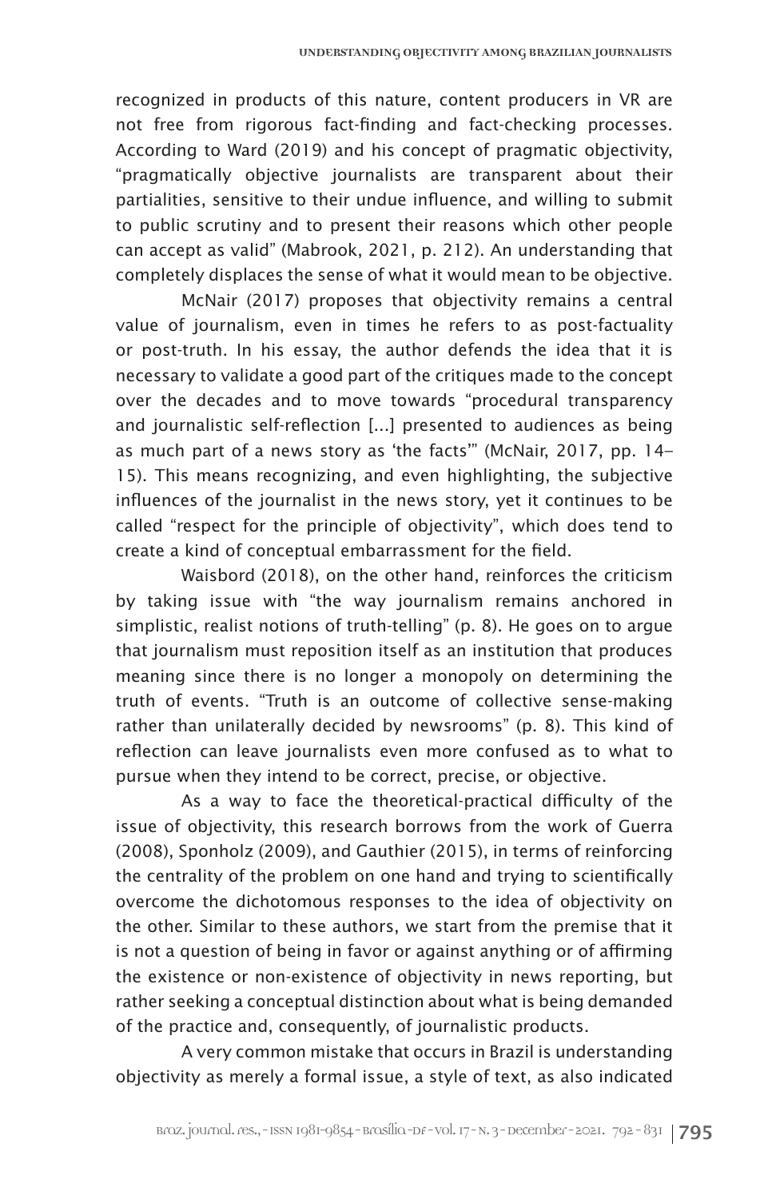recognized in products of this nature, content producers in VR are not free from rigorous fact-finding and fact-checking processes. According to Ward (2019) and his concept of pragmatic objectivity, "pragmatically objective journalists are transparent about their partialities, sensitive to their undue influence, and willing to submit to public scrutiny and to present their reasons which other people can accept as valid" (Mabrook, 2021, p. 212). An understanding that completely displaces the sense of what it would mean to be objective.

McNair (2017) proposes that objectivity remains a central value of journalism, even in times he refers to as post-factuality or post-truth. In his essay, the author defends the idea that it is necessary to validate a good part of the critiques made to the concept over the decades and to move towards "procedural transparency and journalistic self-reflection [...] presented to audiences as being as much part of a news story as 'the facts'" (McNair, 2017, pp. 14– 15). This means recognizing, and even highlighting, the subjective influences of the journalist in the news story, yet it continues to be called "respect for the principle of objectivity", which does tend to create a kind of conceptual embarrassment for the field.

Waisbord (2018), on the other hand, reinforces the criticism by taking issue with "the way journalism remains anchored in simplistic, realist notions of truth-telling" (p. 8). He goes on to argue that journalism must reposition itself as an institution that produces meaning since there is no longer a monopoly on determining the truth of events. "Truth is an outcome of collective sense-making rather than unilaterally decided by newsrooms" (p. 8). This kind of reflection can leave journalists even more confused as to what to pursue when they intend to be correct, precise, or objective.

As a way to face the theoretical-practical difficulty of the issue of objectivity, this research borrows from the work of Guerra (2008), Sponholz (2009), and Gauthier (2015), in terms of reinforcing the centrality of the problem on one hand and trying to scientifically overcome the dichotomous responses to the idea of objectivity on the other. Similar to these authors, we start from the premise that it is not a question of being in favor or against anything or of affirming the existence or non-existence of objectivity in news reporting, but rather seeking a conceptual distinction about what is being demanded of the practice and, consequently, of journalistic products.

A very common mistake that occurs in Brazil is understanding objectivity as merely a formal issue, a style of text, as also indicated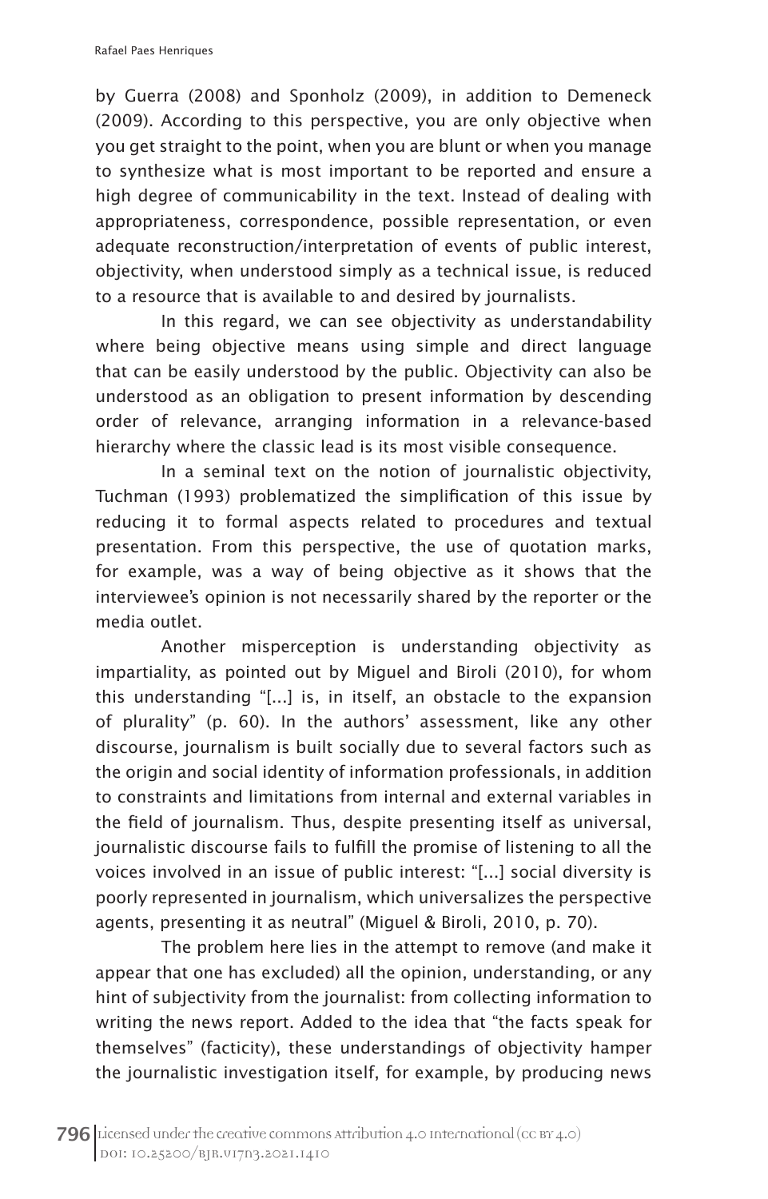by Guerra (2008) and Sponholz (2009), in addition to Demeneck (2009). According to this perspective, you are only objective when you get straight to the point, when you are blunt or when you manage to synthesize what is most important to be reported and ensure a high degree of communicability in the text. Instead of dealing with appropriateness, correspondence, possible representation, or even adequate reconstruction/interpretation of events of public interest, objectivity, when understood simply as a technical issue, is reduced to a resource that is available to and desired by journalists.

In this regard, we can see objectivity as understandability where being objective means using simple and direct language that can be easily understood by the public. Objectivity can also be understood as an obligation to present information by descending order of relevance, arranging information in a relevance-based hierarchy where the classic lead is its most visible consequence.

In a seminal text on the notion of journalistic objectivity, Tuchman (1993) problematized the simplification of this issue by reducing it to formal aspects related to procedures and textual presentation. From this perspective, the use of quotation marks, for example, was a way of being objective as it shows that the interviewee's opinion is not necessarily shared by the reporter or the media outlet.

Another misperception is understanding objectivity as impartiality, as pointed out by Miguel and Biroli (2010), for whom this understanding "[...] is, in itself, an obstacle to the expansion of plurality" (p. 60). In the authors' assessment, like any other discourse, journalism is built socially due to several factors such as the origin and social identity of information professionals, in addition to constraints and limitations from internal and external variables in the field of journalism. Thus, despite presenting itself as universal, journalistic discourse fails to fulfill the promise of listening to all the voices involved in an issue of public interest: "[...] social diversity is poorly represented in journalism, which universalizes the perspective agents, presenting it as neutral" (Miguel & Biroli, 2010, p. 70).

The problem here lies in the attempt to remove (and make it appear that one has excluded) all the opinion, understanding, or any hint of subjectivity from the journalist: from collecting information to writing the news report. Added to the idea that "the facts speak for themselves" (facticity), these understandings of objectivity hamper the journalistic investigation itself, for example, by producing news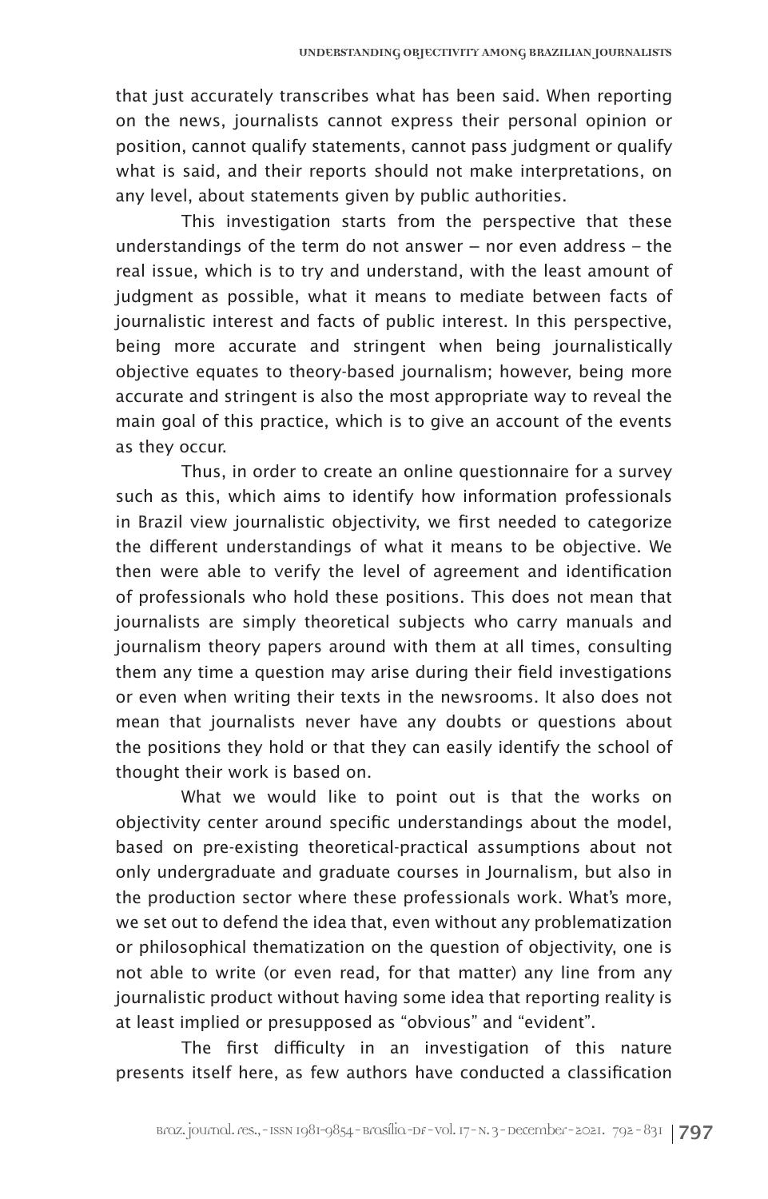that just accurately transcribes what has been said. When reporting on the news, journalists cannot express their personal opinion or position, cannot qualify statements, cannot pass judgment or qualify what is said, and their reports should not make interpretations, on any level, about statements given by public authorities.

This investigation starts from the perspective that these understandings of the term do not answer – nor even address – the real issue, which is to try and understand, with the least amount of judgment as possible, what it means to mediate between facts of journalistic interest and facts of public interest. In this perspective, being more accurate and stringent when being journalistically objective equates to theory-based journalism; however, being more accurate and stringent is also the most appropriate way to reveal the main goal of this practice, which is to give an account of the events as they occur.

Thus, in order to create an online questionnaire for a survey such as this, which aims to identify how information professionals in Brazil view journalistic objectivity, we first needed to categorize the different understandings of what it means to be objective. We then were able to verify the level of agreement and identification of professionals who hold these positions. This does not mean that journalists are simply theoretical subjects who carry manuals and journalism theory papers around with them at all times, consulting them any time a question may arise during their field investigations or even when writing their texts in the newsrooms. It also does not mean that journalists never have any doubts or questions about the positions they hold or that they can easily identify the school of thought their work is based on.

What we would like to point out is that the works on objectivity center around specific understandings about the model, based on pre-existing theoretical-practical assumptions about not only undergraduate and graduate courses in Journalism, but also in the production sector where these professionals work. What's more, we set out to defend the idea that, even without any problematization or philosophical thematization on the question of objectivity, one is not able to write (or even read, for that matter) any line from any journalistic product without having some idea that reporting reality is at least implied or presupposed as "obvious" and "evident".

The first difficulty in an investigation of this nature presents itself here, as few authors have conducted a classification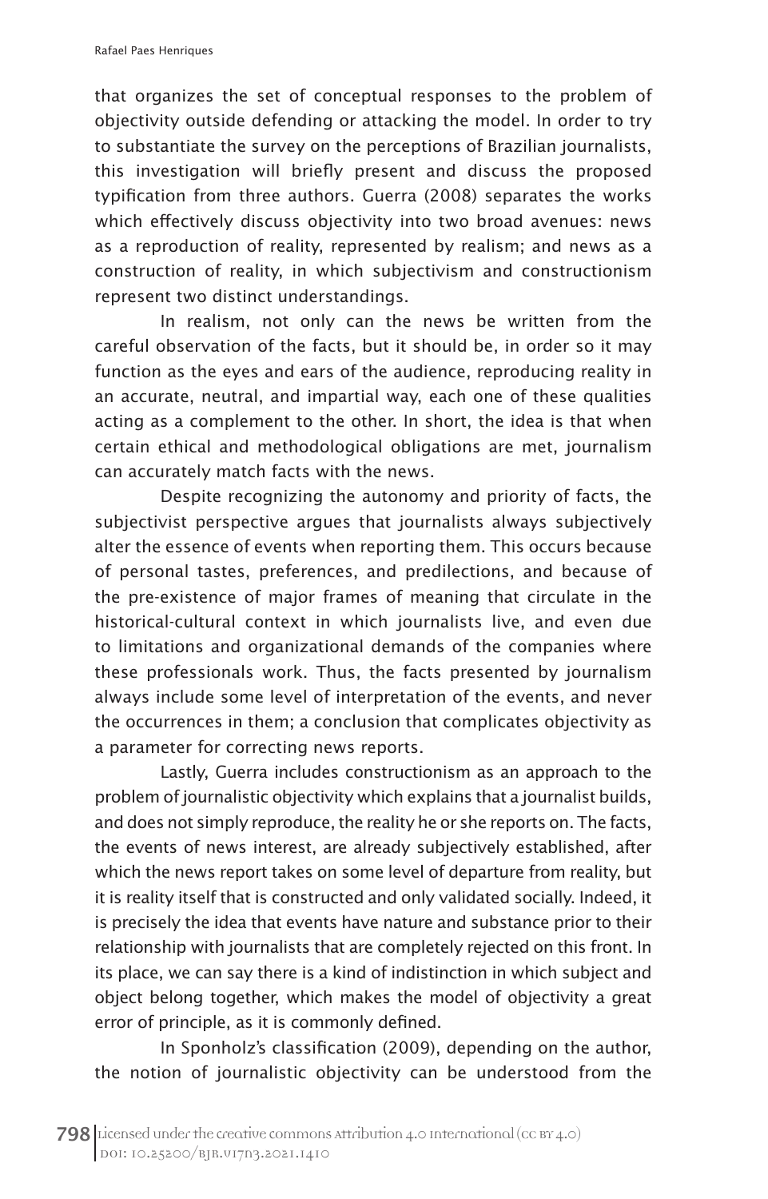that organizes the set of conceptual responses to the problem of objectivity outside defending or attacking the model. In order to try to substantiate the survey on the perceptions of Brazilian journalists, this investigation will briefly present and discuss the proposed typification from three authors. Guerra (2008) separates the works which effectively discuss objectivity into two broad avenues: news as a reproduction of reality, represented by realism; and news as a construction of reality, in which subjectivism and constructionism represent two distinct understandings.

In realism, not only can the news be written from the careful observation of the facts, but it should be, in order so it may function as the eyes and ears of the audience, reproducing reality in an accurate, neutral, and impartial way, each one of these qualities acting as a complement to the other. In short, the idea is that when certain ethical and methodological obligations are met, journalism can accurately match facts with the news.

Despite recognizing the autonomy and priority of facts, the subjectivist perspective argues that journalists always subjectively alter the essence of events when reporting them. This occurs because of personal tastes, preferences, and predilections, and because of the pre-existence of major frames of meaning that circulate in the historical-cultural context in which journalists live, and even due to limitations and organizational demands of the companies where these professionals work. Thus, the facts presented by journalism always include some level of interpretation of the events, and never the occurrences in them; a conclusion that complicates objectivity as a parameter for correcting news reports.

Lastly, Guerra includes constructionism as an approach to the problem of journalistic objectivity which explains that a journalist builds, and does not simply reproduce, the reality he or she reports on. The facts, the events of news interest, are already subjectively established, after which the news report takes on some level of departure from reality, but it is reality itself that is constructed and only validated socially. Indeed, it is precisely the idea that events have nature and substance prior to their relationship with journalists that are completely rejected on this front. In its place, we can say there is a kind of indistinction in which subject and object belong together, which makes the model of objectivity a great error of principle, as it is commonly defined.

In Sponholz's classification (2009), depending on the author, the notion of journalistic objectivity can be understood from the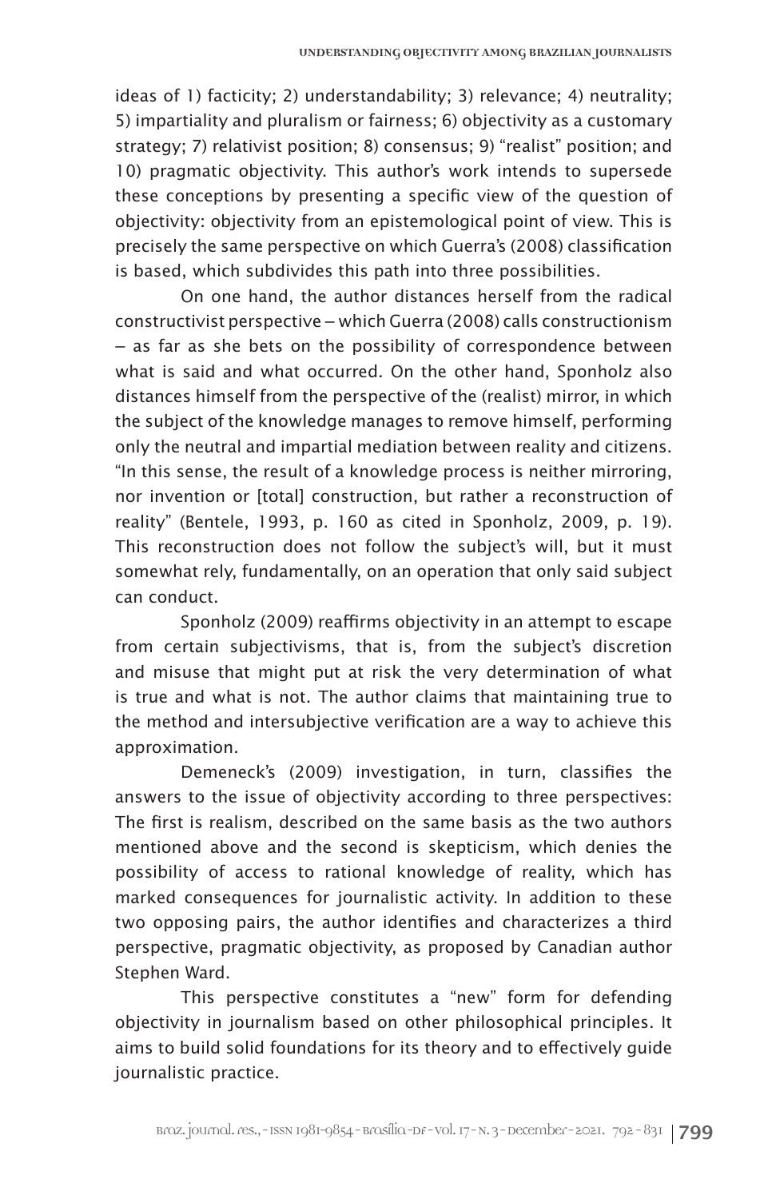ideas of 1) facticity; 2) understandability; 3) relevance; 4) neutrality; 5) impartiality and pluralism or fairness; 6) objectivity as a customary strategy; 7) relativist position; 8) consensus; 9) "realist" position; and 10) pragmatic objectivity. This author's work intends to supersede these conceptions by presenting a specific view of the question of objectivity: objectivity from an epistemological point of view. This is precisely the same perspective on which Guerra's (2008) classification is based, which subdivides this path into three possibilities.

On one hand, the author distances herself from the radical constructivist perspective − which Guerra (2008) calls constructionism − as far as she bets on the possibility of correspondence between what is said and what occurred. On the other hand, Sponholz also distances himself from the perspective of the (realist) mirror, in which the subject of the knowledge manages to remove himself, performing only the neutral and impartial mediation between reality and citizens. "In this sense, the result of a knowledge process is neither mirroring, nor invention or [total] construction, but rather a reconstruction of reality" (Bentele, 1993, p. 160 as cited in Sponholz, 2009, p. 19). This reconstruction does not follow the subject's will, but it must somewhat rely, fundamentally, on an operation that only said subject can conduct.

Sponholz (2009) reaffirms objectivity in an attempt to escape from certain subjectivisms, that is, from the subject's discretion and misuse that might put at risk the very determination of what is true and what is not. The author claims that maintaining true to the method and intersubjective verification are a way to achieve this approximation.

Demeneck's (2009) investigation, in turn, classifies the answers to the issue of objectivity according to three perspectives: The first is realism, described on the same basis as the two authors mentioned above and the second is skepticism, which denies the possibility of access to rational knowledge of reality, which has marked consequences for journalistic activity. In addition to these two opposing pairs, the author identifies and characterizes a third perspective, pragmatic objectivity, as proposed by Canadian author Stephen Ward.

This perspective constitutes a "new" form for defending objectivity in journalism based on other philosophical principles. It aims to build solid foundations for its theory and to effectively guide journalistic practice.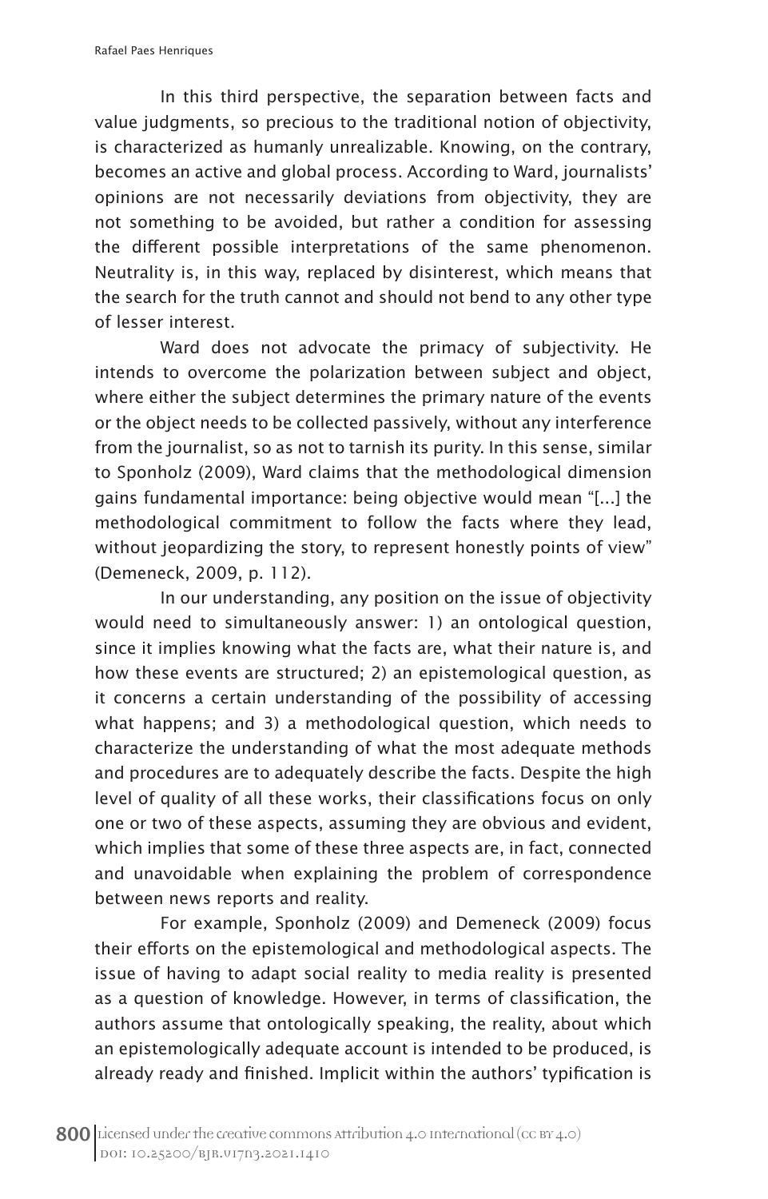In this third perspective, the separation between facts and value judgments, so precious to the traditional notion of objectivity, is characterized as humanly unrealizable. Knowing, on the contrary, becomes an active and global process. According to Ward, journalists' opinions are not necessarily deviations from objectivity, they are not something to be avoided, but rather a condition for assessing the different possible interpretations of the same phenomenon. Neutrality is, in this way, replaced by disinterest, which means that the search for the truth cannot and should not bend to any other type of lesser interest.

Ward does not advocate the primacy of subjectivity. He intends to overcome the polarization between subject and object, where either the subject determines the primary nature of the events or the object needs to be collected passively, without any interference from the journalist, so as not to tarnish its purity. In this sense, similar to Sponholz (2009), Ward claims that the methodological dimension gains fundamental importance: being objective would mean "[...] the methodological commitment to follow the facts where they lead, without jeopardizing the story, to represent honestly points of view" (Demeneck, 2009, p. 112).

In our understanding, any position on the issue of objectivity would need to simultaneously answer: 1) an ontological question, since it implies knowing what the facts are, what their nature is, and how these events are structured; 2) an epistemological question, as it concerns a certain understanding of the possibility of accessing what happens; and 3) a methodological question, which needs to characterize the understanding of what the most adequate methods and procedures are to adequately describe the facts. Despite the high level of quality of all these works, their classifications focus on only one or two of these aspects, assuming they are obvious and evident, which implies that some of these three aspects are, in fact, connected and unavoidable when explaining the problem of correspondence between news reports and reality.

For example, Sponholz (2009) and Demeneck (2009) focus their efforts on the epistemological and methodological aspects. The issue of having to adapt social reality to media reality is presented as a question of knowledge. However, in terms of classification, the authors assume that ontologically speaking, the reality, about which an epistemologically adequate account is intended to be produced, is already ready and finished. Implicit within the authors' typification is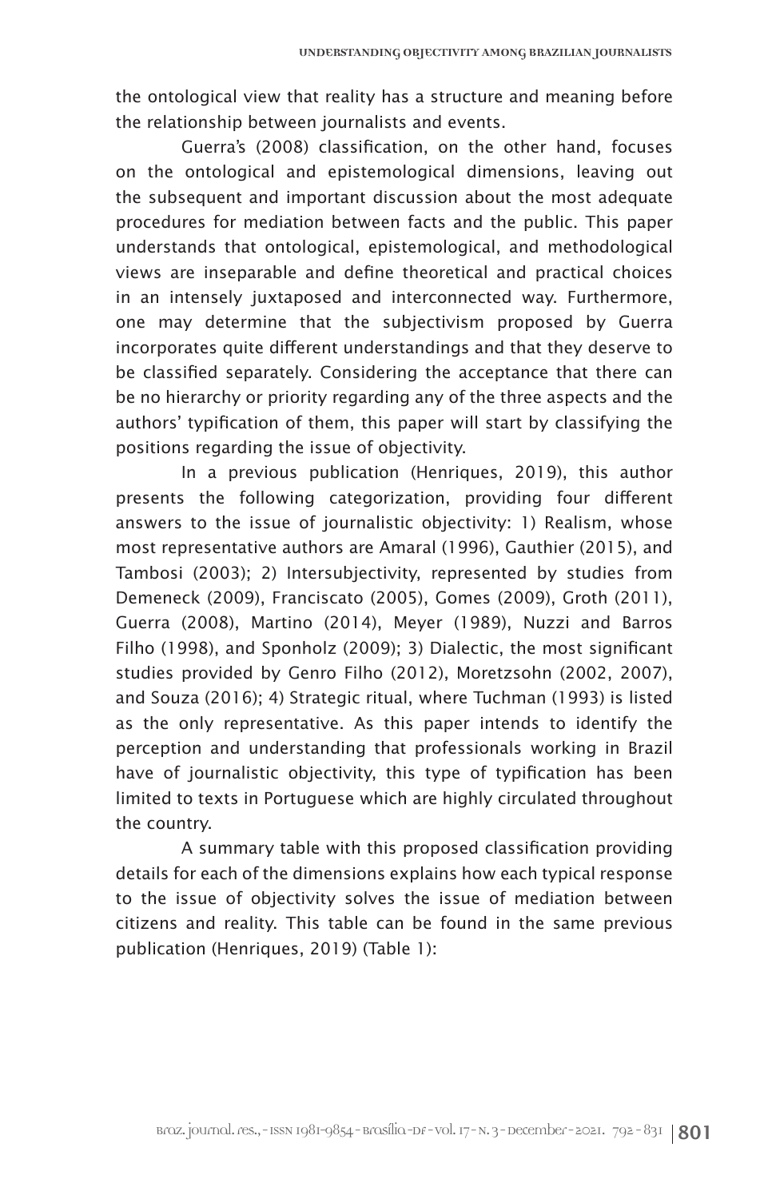the ontological view that reality has a structure and meaning before the relationship between journalists and events.

Guerra's (2008) classification, on the other hand, focuses on the ontological and epistemological dimensions, leaving out the subsequent and important discussion about the most adequate procedures for mediation between facts and the public. This paper understands that ontological, epistemological, and methodological views are inseparable and define theoretical and practical choices in an intensely juxtaposed and interconnected way. Furthermore, one may determine that the subjectivism proposed by Guerra incorporates quite different understandings and that they deserve to be classified separately. Considering the acceptance that there can be no hierarchy or priority regarding any of the three aspects and the authors' typification of them, this paper will start by classifying the positions regarding the issue of objectivity.

In a previous publication (Henriques, 2019), this author presents the following categorization, providing four different answers to the issue of journalistic objectivity: 1) Realism, whose most representative authors are Amaral (1996), Gauthier (2015), and Tambosi (2003); 2) Intersubjectivity, represented by studies from Demeneck (2009), Franciscato (2005), Gomes (2009), Groth (2011), Guerra (2008), Martino (2014), Meyer (1989), Nuzzi and Barros Filho (1998), and Sponholz (2009); 3) Dialectic, the most significant studies provided by Genro Filho (2012), Moretzsohn (2002, 2007), and Souza (2016); 4) Strategic ritual, where Tuchman (1993) is listed as the only representative. As this paper intends to identify the perception and understanding that professionals working in Brazil have of journalistic objectivity, this type of typification has been limited to texts in Portuguese which are highly circulated throughout the country.

A summary table with this proposed classification providing details for each of the dimensions explains how each typical response to the issue of objectivity solves the issue of mediation between citizens and reality. This table can be found in the same previous publication (Henriques, 2019) (Table 1):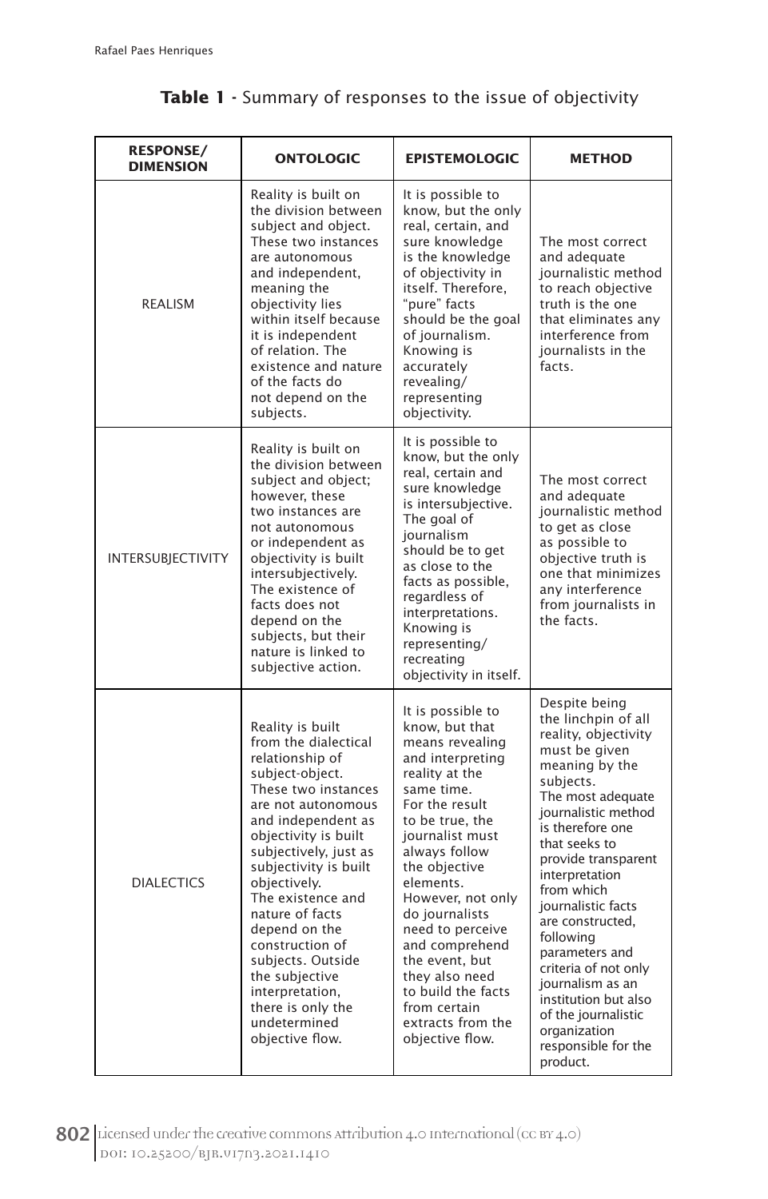#### **RESPONSE/ DIMENSION ONTOLOGIC EPISTEMOLOGIC METHOD** REALISM Reality is built on the division between subject and object. These two instances are autonomous and independent, meaning the objectivity lies within itself because it is independent of relation. The existence and nature of the facts do not depend on the subjects. It is possible to know, but the only real, certain, and sure knowledge is the knowledge of objectivity in itself. Therefore, "pure" facts should be the goal of journalism. Knowing is accurately revealing/ representing objectivity. The most correct and adequate journalistic method to reach objective truth is the one that eliminates any interference from journalists in the facts. INTERSUBJECTIVITY Reality is built on the division between subject and object; however, these two instances are not autonomous or independent as objectivity is built intersubjectively. The existence of facts does not depend on the subjects, but their nature is linked to subjective action. It is possible to know, but the only real, certain and sure knowledge is intersubjective. The goal of journalism should be to get as close to the facts as possible, regardless of interpretations. Knowing is representing/ recreating objectivity in itself. The most correct and adequate journalistic method to get as close as possible to objective truth is one that minimizes any interference from journalists in the facts. DIALECTICS Reality is built from the dialectical relationship of subject-object. These two instances are not autonomous and independent as objectivity is built subjectively, just as subjectivity is built objectively. The existence and nature of facts depend on the construction of subjects. Outside the subjective interpretation, there is only the undetermined objective flow. It is possible to know, but that means revealing and interpreting reality at the same time. For the result to be true, the journalist must always follow the objective elements. However, not only do journalists need to perceive and comprehend the event, but they also need to build the facts from certain extracts from the objective flow. Despite being the linchpin of all reality, objectivity must be given meaning by the subjects. The most adequate journalistic method is therefore one that seeks to provide transparent interpretation from which journalistic facts are constructed, following parameters and criteria of not only journalism as an institution but also of the journalistic organization responsible for the

#### **Table 1 -** Summary of responses to the issue of objectivity

802 Licensed under the creative commons attribution 4.0 International (cc BY 4.0) DOI: 10.25200/BJR.v17n3.2021.1410

product.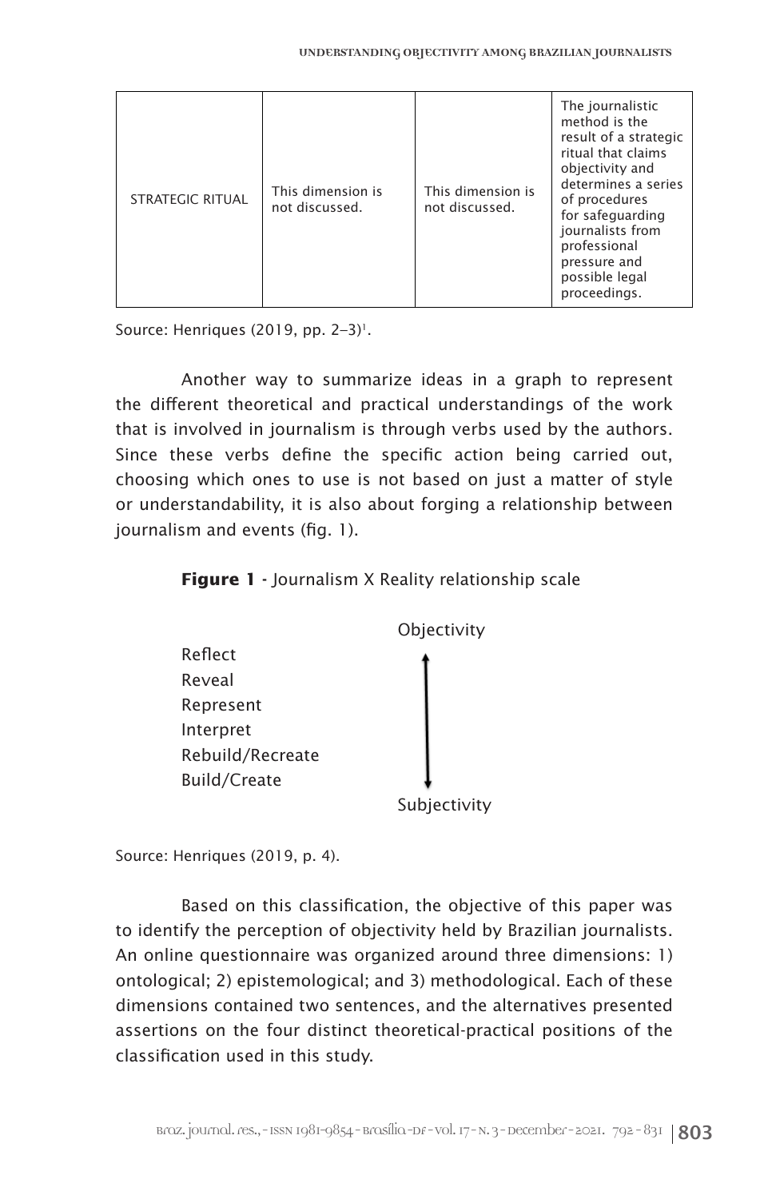| <b>STRATEGIC RITUAL</b> | This dimension is<br>not discussed. | This dimension is<br>not discussed. | The journalistic<br>method is the<br>result of a strategic<br>ritual that claims<br>objectivity and<br>determines a series<br>of procedures<br>for safeguarding<br>journalists from<br>professional<br>pressure and<br>possible legal<br>proceedings. |
|-------------------------|-------------------------------------|-------------------------------------|-------------------------------------------------------------------------------------------------------------------------------------------------------------------------------------------------------------------------------------------------------|
|-------------------------|-------------------------------------|-------------------------------------|-------------------------------------------------------------------------------------------------------------------------------------------------------------------------------------------------------------------------------------------------------|

Source: Henriques (2019, pp.  $2-3$ )<sup>1</sup>.

Another way to summarize ideas in a graph to represent the different theoretical and practical understandings of the work that is involved in journalism is through verbs used by the authors. Since these verbs define the specific action being carried out, choosing which ones to use is not based on just a matter of style or understandability, it is also about forging a relationship between journalism and events (fig. 1).

**Figure 1 -** Journalism X Reality relationship scale



Source: Henriques (2019, p. 4).

Based on this classification, the objective of this paper was to identify the perception of objectivity held by Brazilian journalists. An online questionnaire was organized around three dimensions: 1) ontological; 2) epistemological; and 3) methodological. Each of these dimensions contained two sentences, and the alternatives presented assertions on the four distinct theoretical-practical positions of the classification used in this study.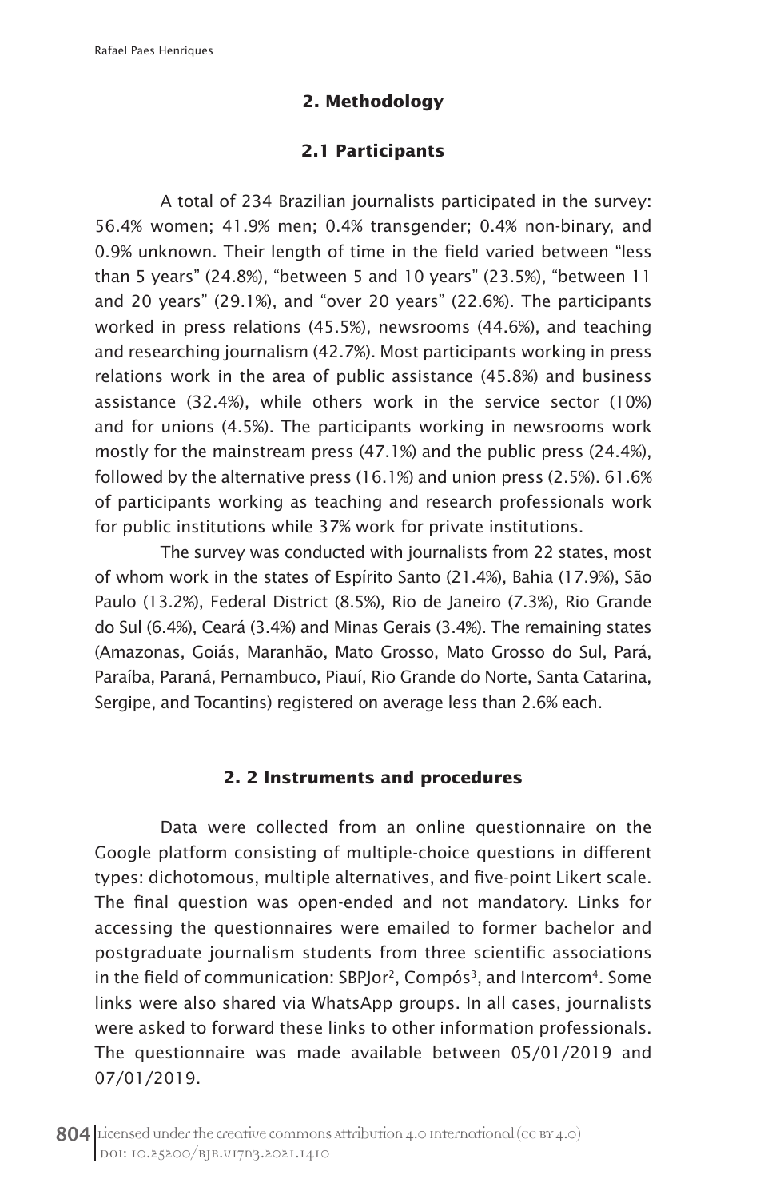# **2. Methodology**

# **2.1 Participants**

A total of 234 Brazilian journalists participated in the survey: 56.4% women; 41.9% men; 0.4% transgender; 0.4% non-binary, and 0.9% unknown. Their length of time in the field varied between "less than 5 years" (24.8%), "between 5 and 10 years" (23.5%), "between 11 and 20 years" (29.1%), and "over 20 years" (22.6%). The participants worked in press relations (45.5%), newsrooms (44.6%), and teaching and researching journalism (42.7%). Most participants working in press relations work in the area of public assistance (45.8%) and business assistance (32.4%), while others work in the service sector (10%) and for unions (4.5%). The participants working in newsrooms work mostly for the mainstream press (47.1%) and the public press (24.4%), followed by the alternative press (16.1%) and union press (2.5%). 61.6% of participants working as teaching and research professionals work for public institutions while 37% work for private institutions.

The survey was conducted with journalists from 22 states, most of whom work in the states of Espírito Santo (21.4%), Bahia (17.9%), São Paulo (13.2%), Federal District (8.5%), Rio de Janeiro (7.3%), Rio Grande do Sul (6.4%), Ceará (3.4%) and Minas Gerais (3.4%). The remaining states (Amazonas, Goiás, Maranhão, Mato Grosso, Mato Grosso do Sul, Pará, Paraíba, Paraná, Pernambuco, Piauí, Rio Grande do Norte, Santa Catarina, Sergipe, and Tocantins) registered on average less than 2.6% each.

#### **2. 2 Instruments and procedures**

Data were collected from an online questionnaire on the Google platform consisting of multiple-choice questions in different types: dichotomous, multiple alternatives, and five-point Likert scale. The final question was open-ended and not mandatory. Links for accessing the questionnaires were emailed to former bachelor and postgraduate journalism students from three scientific associations in the field of communication: SBPJor<sup>2</sup>, Compós<sup>3</sup>, and Intercom<sup>4</sup>. Some links were also shared via WhatsApp groups. In all cases, journalists were asked to forward these links to other information professionals. The questionnaire was made available between 05/01/2019 and 07/01/2019.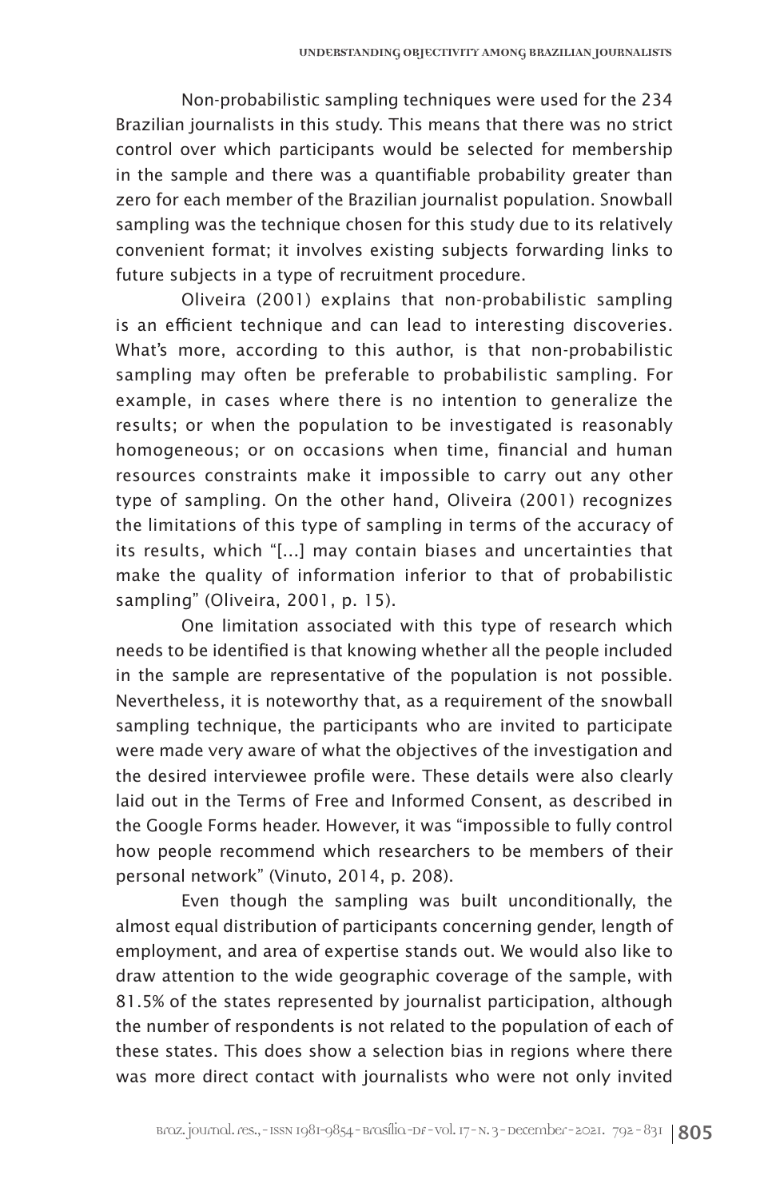Non-probabilistic sampling techniques were used for the 234 Brazilian journalists in this study. This means that there was no strict control over which participants would be selected for membership in the sample and there was a quantifiable probability greater than zero for each member of the Brazilian journalist population. Snowball sampling was the technique chosen for this study due to its relatively convenient format; it involves existing subjects forwarding links to future subjects in a type of recruitment procedure.

Oliveira (2001) explains that non-probabilistic sampling is an efficient technique and can lead to interesting discoveries. What's more, according to this author, is that non-probabilistic sampling may often be preferable to probabilistic sampling. For example, in cases where there is no intention to generalize the results; or when the population to be investigated is reasonably homogeneous; or on occasions when time, financial and human resources constraints make it impossible to carry out any other type of sampling. On the other hand, Oliveira (2001) recognizes the limitations of this type of sampling in terms of the accuracy of its results, which "[...] may contain biases and uncertainties that make the quality of information inferior to that of probabilistic sampling" (Oliveira, 2001, p. 15).

One limitation associated with this type of research which needs to be identified is that knowing whether all the people included in the sample are representative of the population is not possible. Nevertheless, it is noteworthy that, as a requirement of the snowball sampling technique, the participants who are invited to participate were made very aware of what the objectives of the investigation and the desired interviewee profile were. These details were also clearly laid out in the Terms of Free and Informed Consent, as described in the Google Forms header. However, it was "impossible to fully control how people recommend which researchers to be members of their personal network" (Vinuto, 2014, p. 208).

Even though the sampling was built unconditionally, the almost equal distribution of participants concerning gender, length of employment, and area of expertise stands out. We would also like to draw attention to the wide geographic coverage of the sample, with 81.5% of the states represented by journalist participation, although the number of respondents is not related to the population of each of these states. This does show a selection bias in regions where there was more direct contact with journalists who were not only invited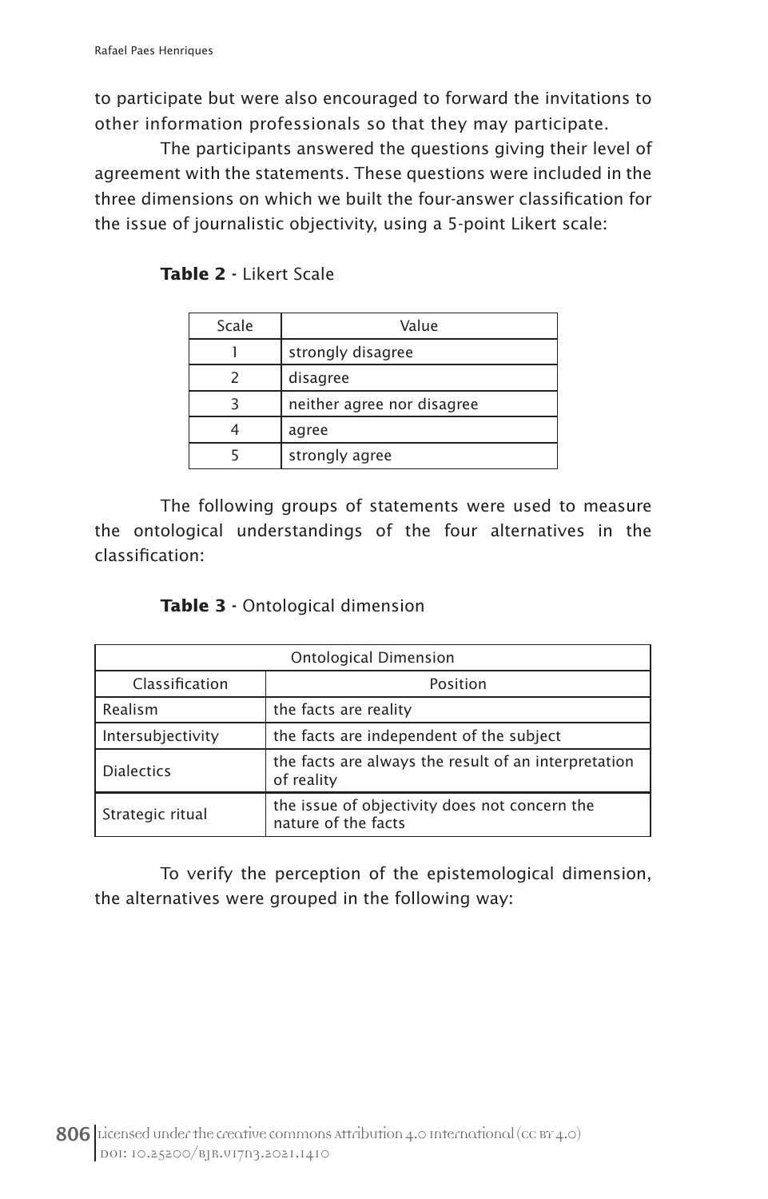to participate but were also encouraged to forward the invitations to other information professionals so that they may participate.

The participants answered the questions giving their level of agreement with the statements. These questions were included in the three dimensions on which we built the four-answer classification for the issue of journalistic objectivity, using a 5-point Likert scale:

| Scale | Value                      |
|-------|----------------------------|
|       | strongly disagree          |
|       | disagree                   |
|       | neither agree nor disagree |
|       | agree                      |
|       | strongly agree             |

**Table 2 -** Likert Scale

The following groups of statements were used to measure the ontological understandings of the four alternatives in the classification:

| Ontological Dimension      |                                                                      |  |  |
|----------------------------|----------------------------------------------------------------------|--|--|
| Classification<br>Position |                                                                      |  |  |
| Realism                    | the facts are reality                                                |  |  |
| Intersubjectivity          | the facts are independent of the subject                             |  |  |
| <b>Dialectics</b>          | the facts are always the result of an interpretation<br>of reality   |  |  |
| Strategic ritual           | the issue of objectivity does not concern the<br>nature of the facts |  |  |

To verify the perception of the epistemological dimension, the alternatives were grouped in the following way: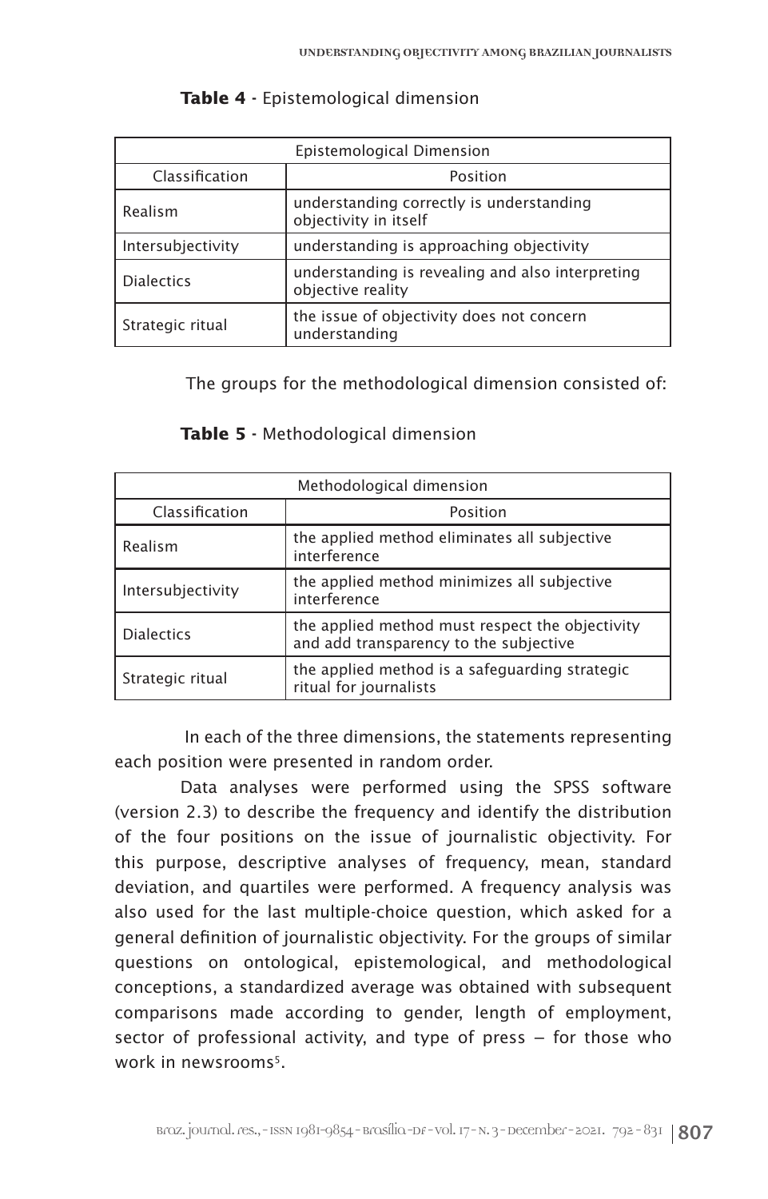| Epistemological Dimension |                                                                       |  |  |
|---------------------------|-----------------------------------------------------------------------|--|--|
| Classification            | Position                                                              |  |  |
| Realism                   | understanding correctly is understanding<br>objectivity in itself     |  |  |
| Intersubjectivity         | understanding is approaching objectivity                              |  |  |
| <b>Dialectics</b>         | understanding is revealing and also interpreting<br>objective reality |  |  |
| Strategic ritual          | the issue of objectivity does not concern<br>understanding            |  |  |

#### **Table 4 -** Epistemological dimension

The groups for the methodological dimension consisted of:

| Methodological dimension |                                                                                           |  |  |
|--------------------------|-------------------------------------------------------------------------------------------|--|--|
| Classification           | Position                                                                                  |  |  |
| Realism                  | the applied method eliminates all subjective<br>interference                              |  |  |
| Intersubjectivity        | the applied method minimizes all subjective<br>interference                               |  |  |
| <b>Dialectics</b>        | the applied method must respect the objectivity<br>and add transparency to the subjective |  |  |
| Strategic ritual         | the applied method is a safeguarding strategic<br>ritual for journalists                  |  |  |

#### **Table 5 -** Methodological dimension

 In each of the three dimensions, the statements representing each position were presented in random order.

Data analyses were performed using the SPSS software (version 2.3) to describe the frequency and identify the distribution of the four positions on the issue of journalistic objectivity. For this purpose, descriptive analyses of frequency, mean, standard deviation, and quartiles were performed. A frequency analysis was also used for the last multiple-choice question, which asked for a general definition of journalistic objectivity. For the groups of similar questions on ontological, epistemological, and methodological conceptions, a standardized average was obtained with subsequent comparisons made according to gender, length of employment, sector of professional activity, and type of press – for those who work in newsrooms<sup>5</sup>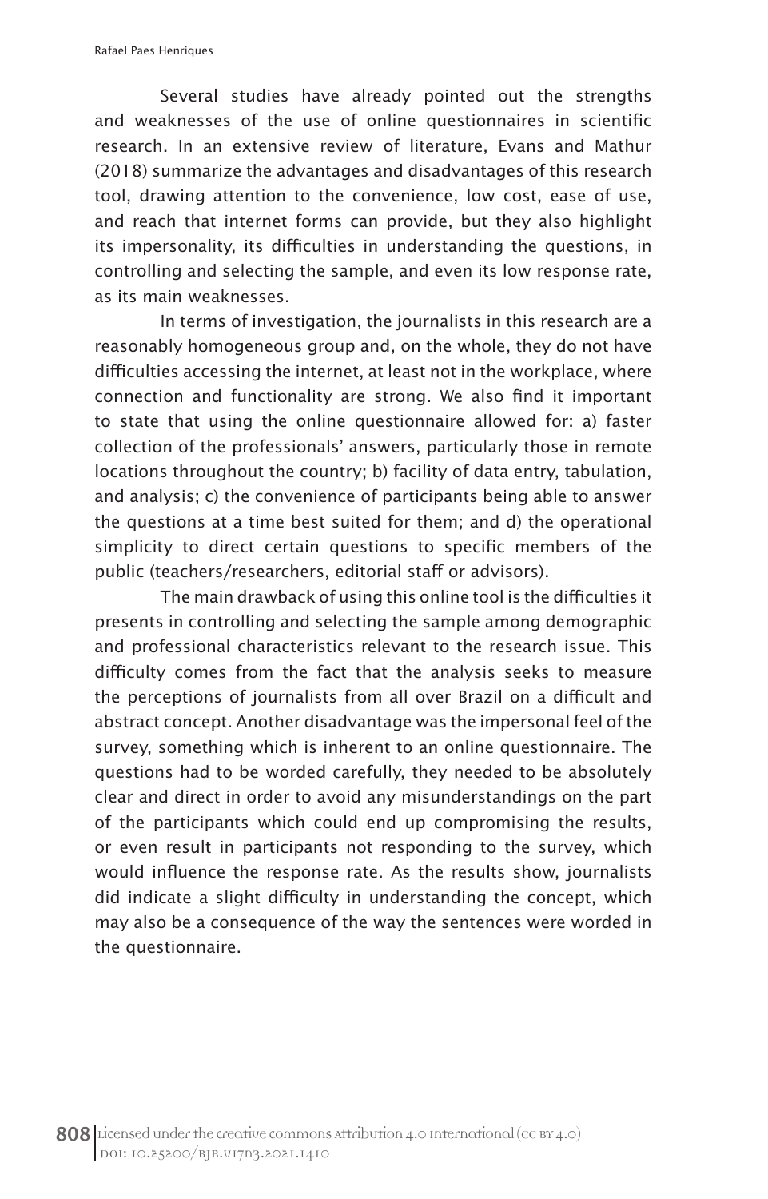Several studies have already pointed out the strengths and weaknesses of the use of online questionnaires in scientific research. In an extensive review of literature, Evans and Mathur (2018) summarize the advantages and disadvantages of this research tool, drawing attention to the convenience, low cost, ease of use, and reach that internet forms can provide, but they also highlight its impersonality, its difficulties in understanding the questions, in controlling and selecting the sample, and even its low response rate, as its main weaknesses.

In terms of investigation, the journalists in this research are a reasonably homogeneous group and, on the whole, they do not have difficulties accessing the internet, at least not in the workplace, where connection and functionality are strong. We also find it important to state that using the online questionnaire allowed for: a) faster collection of the professionals' answers, particularly those in remote locations throughout the country; b) facility of data entry, tabulation, and analysis; c) the convenience of participants being able to answer the questions at a time best suited for them; and d) the operational simplicity to direct certain questions to specific members of the public (teachers/researchers, editorial staff or advisors).

The main drawback of using this online tool is the difficulties it presents in controlling and selecting the sample among demographic and professional characteristics relevant to the research issue. This difficulty comes from the fact that the analysis seeks to measure the perceptions of journalists from all over Brazil on a difficult and abstract concept. Another disadvantage was the impersonal feel of the survey, something which is inherent to an online questionnaire. The questions had to be worded carefully, they needed to be absolutely clear and direct in order to avoid any misunderstandings on the part of the participants which could end up compromising the results, or even result in participants not responding to the survey, which would influence the response rate. As the results show, journalists did indicate a slight difficulty in understanding the concept, which may also be a consequence of the way the sentences were worded in the questionnaire.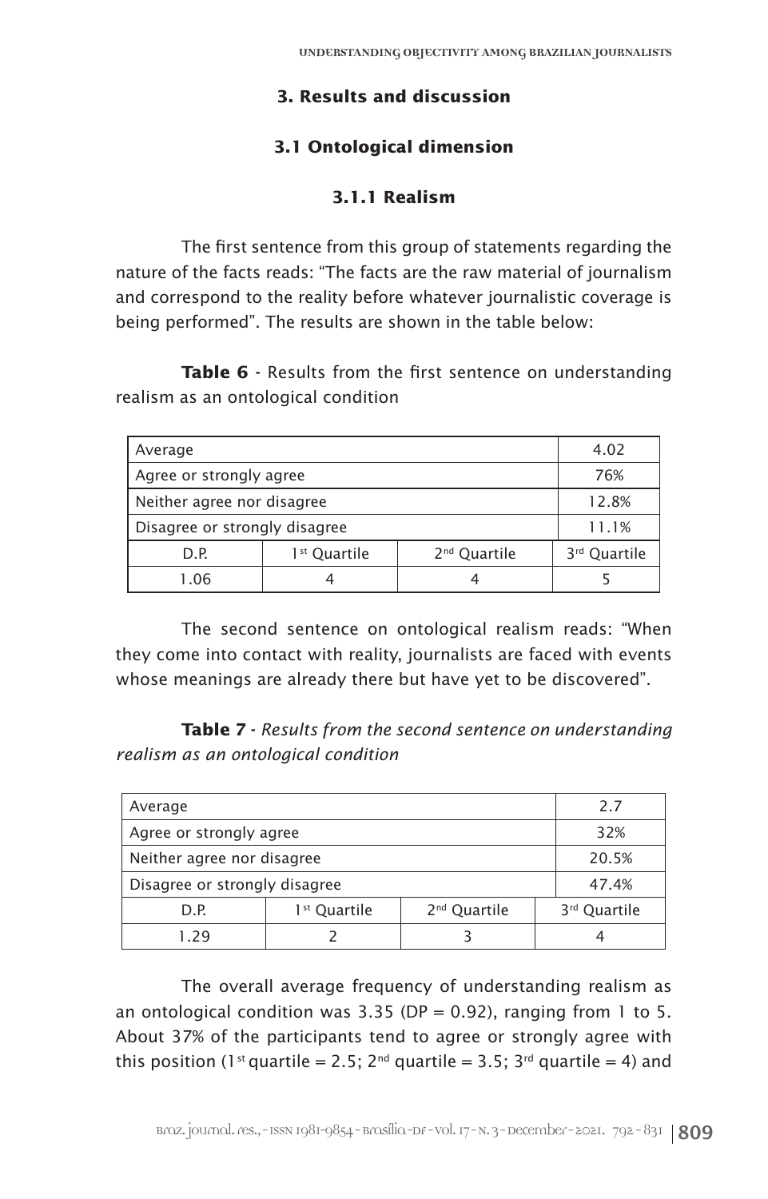# **3. Results and discussion**

# **3.1 Ontological dimension**

# **3.1.1 Realism**

The first sentence from this group of statements regarding the nature of the facts reads: "The facts are the raw material of journalism and correspond to the reality before whatever journalistic coverage is being performed". The results are shown in the table below:

Table 6 - Results from the first sentence on understanding realism as an ontological condition

| Average                       |                          |                          | 4.02                     |
|-------------------------------|--------------------------|--------------------------|--------------------------|
| Agree or strongly agree       |                          |                          | 76%                      |
| Neither agree nor disagree    |                          |                          | 12.8%                    |
| Disagree or strongly disagree | 11.1%                    |                          |                          |
| D.P.                          | 1 <sup>st</sup> Quartile | 2 <sup>nd</sup> Quartile | 3 <sup>rd</sup> Quartile |
| 1.06<br>4<br>⊿                |                          |                          |                          |

The second sentence on ontological realism reads: "When they come into contact with reality, journalists are faced with events whose meanings are already there but have yet to be discovered".

**Table 7 -** *Results from the second sentence on understanding realism as an ontological condition*

| Average                       |                          |                          |  | 2.7          |
|-------------------------------|--------------------------|--------------------------|--|--------------|
| Agree or strongly agree       |                          |                          |  | 32%          |
| Neither agree nor disagree    |                          |                          |  | 20.5%        |
| Disagree or strongly disagree |                          |                          |  | 47.4%        |
| D.P.                          | 1 <sup>st</sup> Quartile | 2 <sup>nd</sup> Quartile |  | 3rd Quartile |
| 129                           |                          |                          |  |              |

The overall average frequency of understanding realism as an ontological condition was  $3.35$  (DP = 0.92), ranging from 1 to 5. About 37% of the participants tend to agree or strongly agree with this position (1<sup>st</sup> quartile = 2.5;  $2^{nd}$  quartile = 3.5;  $3^{rd}$  quartile = 4) and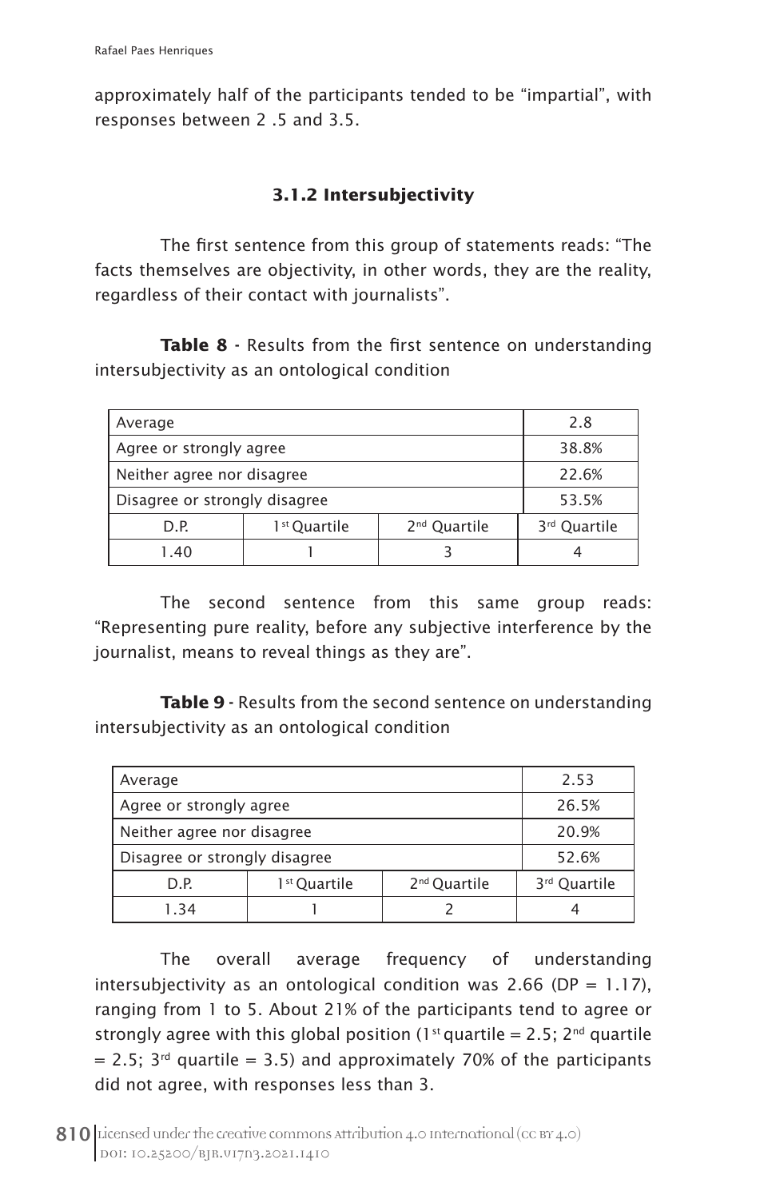approximately half of the participants tended to be "impartial", with responses between 2 .5 and 3.5.

# **3.1.2 Intersubjectivity**

The first sentence from this group of statements reads: "The facts themselves are objectivity, in other words, they are the reality, regardless of their contact with journalists".

**Table 8** - Results from the first sentence on understanding intersubjectivity as an ontological condition

| Average                       |                          |                          | 2.8                      |
|-------------------------------|--------------------------|--------------------------|--------------------------|
| Agree or strongly agree       |                          |                          | 38.8%                    |
| Neither agree nor disagree    |                          |                          | 22.6%                    |
| Disagree or strongly disagree |                          |                          | 53.5%                    |
| D.P.                          | 1 <sup>st</sup> Quartile | 2 <sup>nd</sup> Quartile | 3 <sup>rd</sup> Quartile |
| 1.40                          |                          |                          |                          |

The second sentence from this same group reads: "Representing pure reality, before any subjective interference by the journalist, means to reveal things as they are".

**Table 9** - Results from the second sentence on understanding intersubjectivity as an ontological condition

| Average                       |                          |                          | 2.53                     |
|-------------------------------|--------------------------|--------------------------|--------------------------|
| Agree or strongly agree       |                          |                          | 26.5%                    |
| Neither agree nor disagree    |                          |                          | 20.9%                    |
| Disagree or strongly disagree |                          |                          | 52.6%                    |
| D.P.                          | 1 <sup>st</sup> Quartile | 2 <sup>nd</sup> Quartile | 3 <sup>rd</sup> Quartile |
| 1.34                          |                          |                          |                          |

The overall average frequency of understanding intersubjectivity as an ontological condition was 2.66 (DP =  $1.17$ ), ranging from 1 to 5. About 21% of the participants tend to agree or strongly agree with this global position (1<sup>st</sup> quartile = 2.5;  $2^{nd}$  quartile  $= 2.5$ ; 3<sup>rd</sup> quartile  $= 3.5$ ) and approximately 70% of the participants did not agree, with responses less than 3.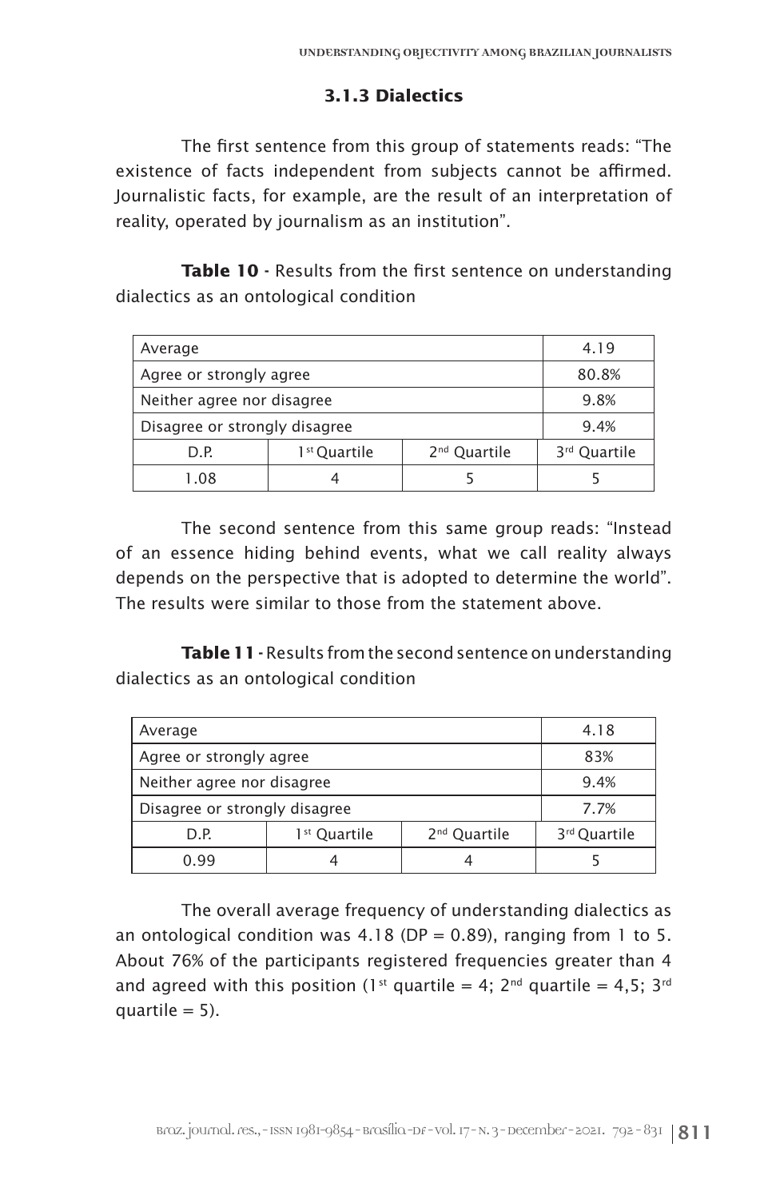#### **3.1.3 Dialectics**

The first sentence from this group of statements reads: "The existence of facts independent from subjects cannot be affirmed. Journalistic facts, for example, are the result of an interpretation of reality, operated by journalism as an institution".

Table 10 - Results from the first sentence on understanding dialectics as an ontological condition

| Average                       |                          |                          | 4.19                     |
|-------------------------------|--------------------------|--------------------------|--------------------------|
| Agree or strongly agree       |                          |                          | 80.8%                    |
| Neither agree nor disagree    |                          |                          | 9.8%                     |
| Disagree or strongly disagree |                          |                          | 9.4%                     |
| D.P.                          | 1 <sup>st</sup> Quartile | 2 <sup>nd</sup> Quartile | 3 <sup>rd</sup> Quartile |
| 1.08                          |                          |                          |                          |

The second sentence from this same group reads: "Instead of an essence hiding behind events, what we call reality always depends on the perspective that is adopted to determine the world". The results were similar to those from the statement above.

Table 11 - Results from the second sentence on understanding dialectics as an ontological condition

| Average                       | 4.18                     |                          |                          |
|-------------------------------|--------------------------|--------------------------|--------------------------|
| Agree or strongly agree       | 83%                      |                          |                          |
| Neither agree nor disagree    | 9.4%                     |                          |                          |
| Disagree or strongly disagree | 7.7%                     |                          |                          |
| D.P.                          | 1 <sup>st</sup> Quartile | 2 <sup>nd</sup> Quartile | 3 <sup>rd</sup> Quartile |
| 0.99                          |                          |                          |                          |

The overall average frequency of understanding dialectics as an ontological condition was  $4.18$  (DP = 0.89), ranging from 1 to 5. About 76% of the participants registered frequencies greater than 4 and agreed with this position (1<sup>st</sup> quartile = 4; 2<sup>nd</sup> quartile = 4,5; 3<sup>rd</sup> quartile  $= 5$ ).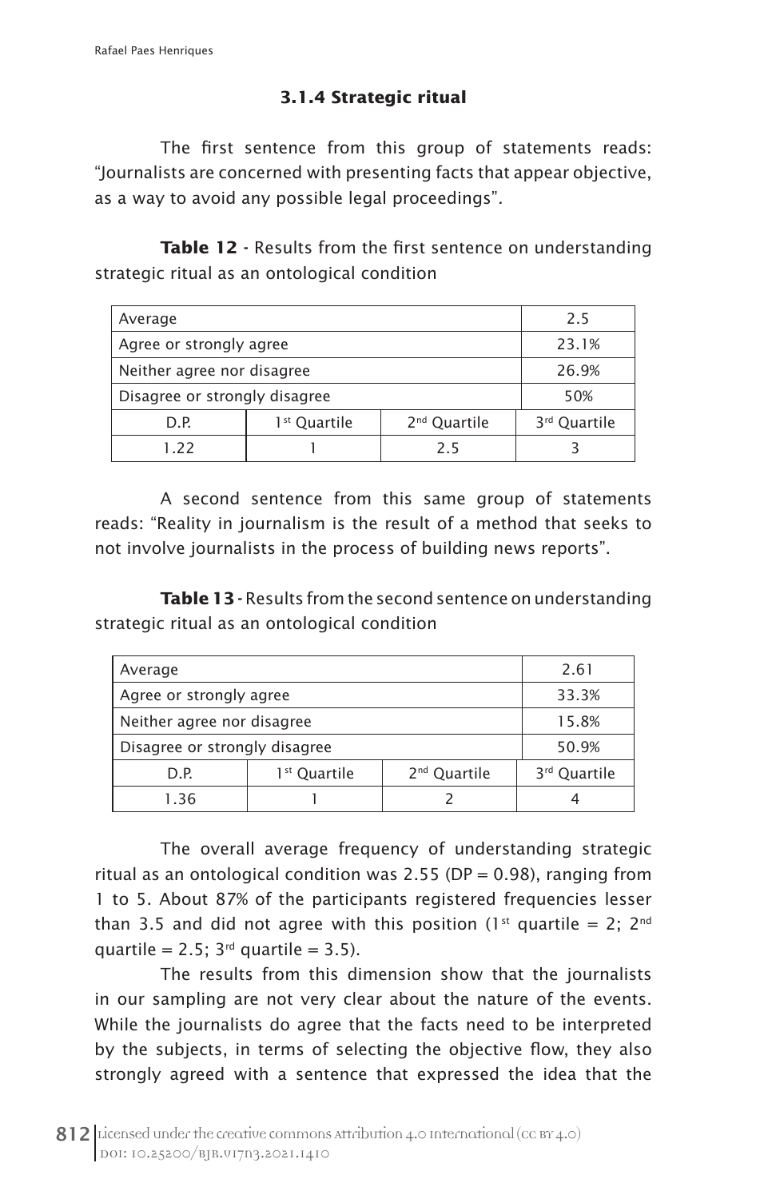# **3.1.4 Strategic ritual**

The first sentence from this group of statements reads: "Journalists are concerned with presenting facts that appear objective, as a way to avoid any possible legal proceedings"*.*

**Table 12** - Results from the first sentence on understanding strategic ritual as an ontological condition

| Average                       |                          |     | 2.5   |
|-------------------------------|--------------------------|-----|-------|
| Agree or strongly agree       |                          |     | 23.1% |
| Neither agree nor disagree    |                          |     | 26.9% |
| Disagree or strongly disagree | 50%                      |     |       |
| D.P.                          | 3 <sup>rd</sup> Quartile |     |       |
| 122                           |                          | 2.5 |       |

A second sentence from this same group of statements reads: "Reality in journalism is the result of a method that seeks to not involve journalists in the process of building news reports".

**Table 13** - Results from the second sentence on understanding strategic ritual as an ontological condition

| Average                                                      |  |  | 2.61                     |
|--------------------------------------------------------------|--|--|--------------------------|
| Agree or strongly agree                                      |  |  | 33.3%                    |
| Neither agree nor disagree                                   |  |  | 15.8%                    |
| Disagree or strongly disagree                                |  |  | 50.9%                    |
| 2 <sup>nd</sup> Quartile<br>1 <sup>st</sup> Quartile<br>D.P. |  |  | 3 <sup>rd</sup> Quartile |
| 1.36                                                         |  |  |                          |

The overall average frequency of understanding strategic ritual as an ontological condition was 2.55 (DP =  $0.98$ ), ranging from 1 to 5. About 87% of the participants registered frequencies lesser than 3.5 and did not agree with this position (1<sup>st</sup> quartile = 2; 2<sup>nd</sup> quartile =  $2.5$ ;  $3<sup>rd</sup>$  quartile =  $3.5$ ).

The results from this dimension show that the journalists in our sampling are not very clear about the nature of the events. While the journalists do agree that the facts need to be interpreted by the subjects, in terms of selecting the objective flow, they also strongly agreed with a sentence that expressed the idea that the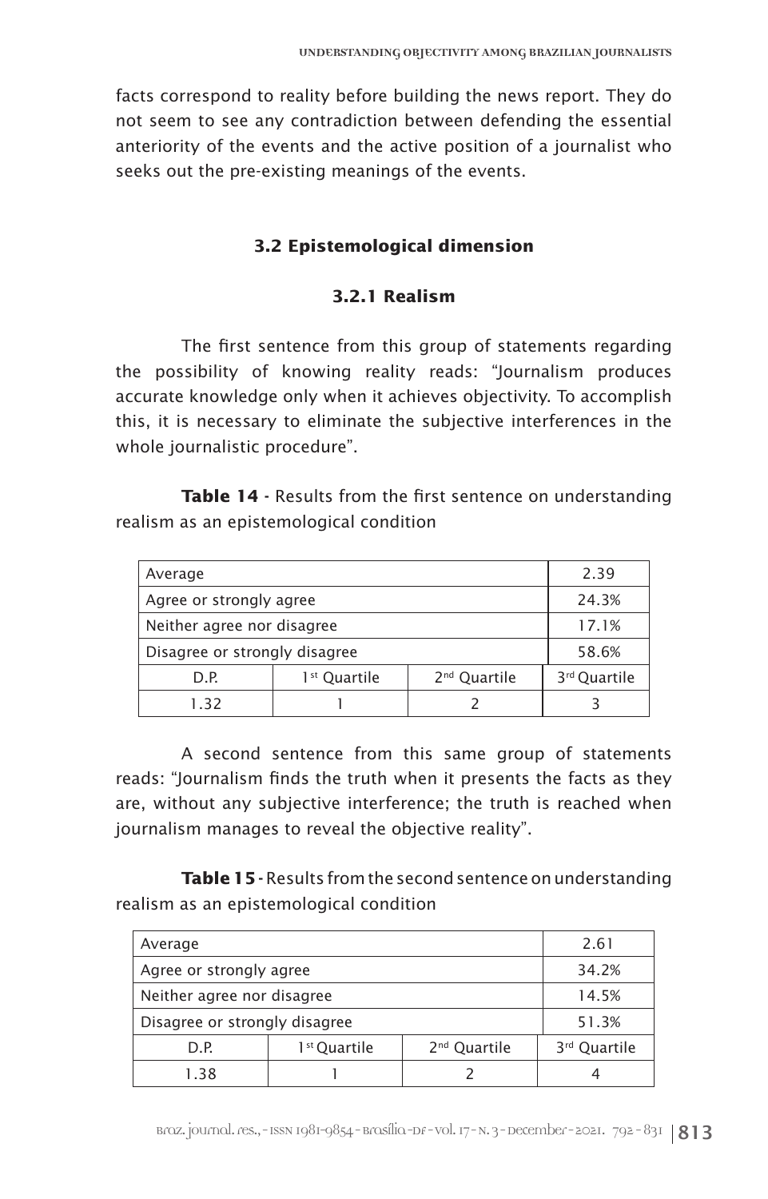facts correspond to reality before building the news report. They do not seem to see any contradiction between defending the essential anteriority of the events and the active position of a journalist who seeks out the pre-existing meanings of the events.

#### **3.2 Epistemological dimension**

#### **3.2.1 Realism**

The first sentence from this group of statements regarding the possibility of knowing reality reads: "Journalism produces accurate knowledge only when it achieves objectivity. To accomplish this, it is necessary to eliminate the subjective interferences in the whole journalistic procedure".

Table 14 - Results from the first sentence on understanding realism as an epistemological condition

| Average                       |                          |                          | 2.39                     |
|-------------------------------|--------------------------|--------------------------|--------------------------|
| Agree or strongly agree       |                          |                          | 24.3%                    |
| Neither agree nor disagree    |                          |                          | 17.1%                    |
| Disagree or strongly disagree | 58.6%                    |                          |                          |
| D.P.                          | 1 <sup>st</sup> Quartile | 2 <sup>nd</sup> Quartile | 3 <sup>rd</sup> Quartile |
| 1.32                          |                          |                          |                          |

A second sentence from this same group of statements reads: "Journalism finds the truth when it presents the facts as they are, without any subjective interference; the truth is reached when journalism manages to reveal the objective reality".

**Table 15** - Results from the second sentence on understanding realism as an epistemological condition

| Average                       |                          |  | 2.61  |
|-------------------------------|--------------------------|--|-------|
| Agree or strongly agree       | 34.2%                    |  |       |
| Neither agree nor disagree    |                          |  | 14.5% |
| Disagree or strongly disagree | 51.3%                    |  |       |
| D.P.                          | 3 <sup>rd</sup> Quartile |  |       |
| 1.38                          |                          |  |       |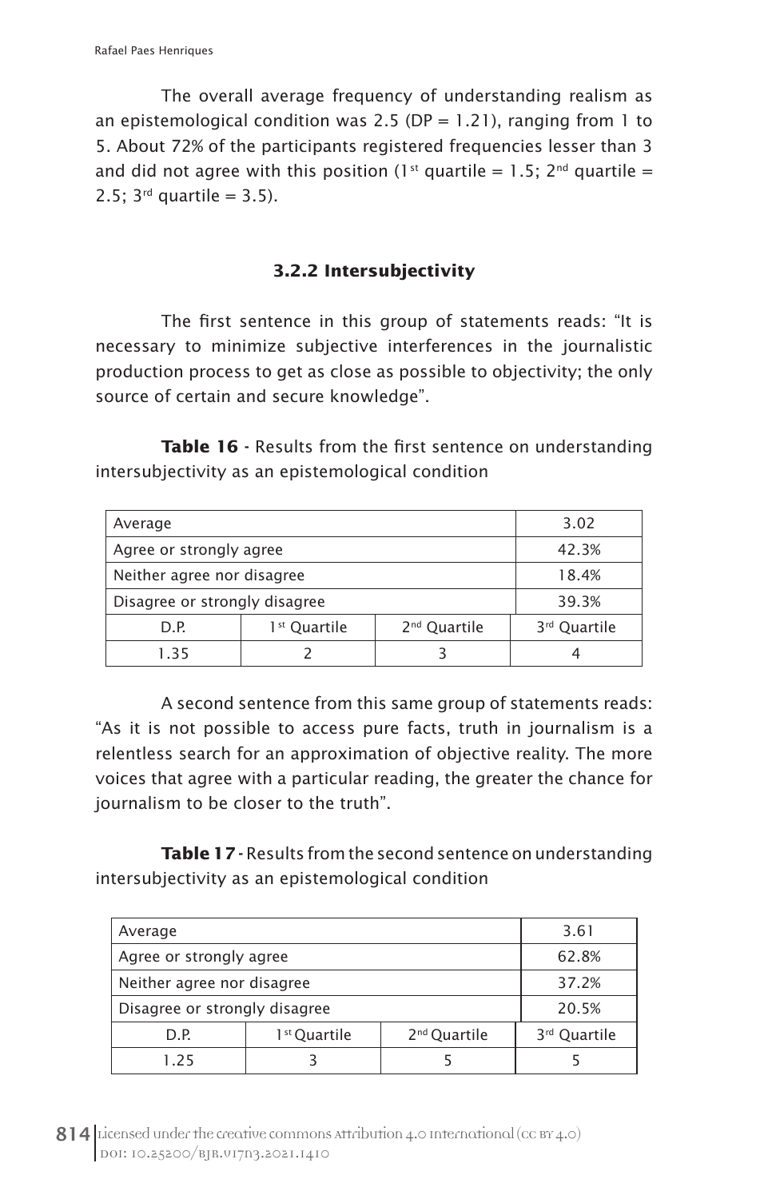The overall average frequency of understanding realism as an epistemological condition was 2.5 (DP = 1.21), ranging from 1 to 5. About 72% of the participants registered frequencies lesser than 3 and did not agree with this position (1<sup>st</sup> quartile = 1.5; 2<sup>nd</sup> quartile = 2.5:  $3^{rd}$  quartile = 3.5).

# **3.2.2 Intersubjectivity**

The first sentence in this group of statements reads: "It is necessary to minimize subjective interferences in the journalistic production process to get as close as possible to objectivity; the only source of certain and secure knowledge".

Table 16 - Results from the first sentence on understanding intersubjectivity as an epistemological condition

| Average                                                      |  |  | 3.02                     |
|--------------------------------------------------------------|--|--|--------------------------|
| Agree or strongly agree                                      |  |  | 42.3%                    |
| Neither agree nor disagree                                   |  |  | 18.4%                    |
| Disagree or strongly disagree                                |  |  | 39.3%                    |
| 1 <sup>st</sup> Quartile<br>2 <sup>nd</sup> Quartile<br>D.P. |  |  | 3 <sup>rd</sup> Quartile |
| 1.35                                                         |  |  |                          |

A second sentence from this same group of statements reads: "As it is not possible to access pure facts, truth in journalism is a relentless search for an approximation of objective reality. The more voices that agree with a particular reading, the greater the chance for journalism to be closer to the truth".

**Table 17** - Results from the second sentence on understanding intersubjectivity as an epistemological condition

| Average                       |                          |  | 3.61  |
|-------------------------------|--------------------------|--|-------|
| Agree or strongly agree       | 62.8%                    |  |       |
| Neither agree nor disagree    |                          |  | 37.2% |
| Disagree or strongly disagree |                          |  | 20.5% |
| D.P.                          | 3 <sup>rd</sup> Quartile |  |       |
| 1.25                          |                          |  |       |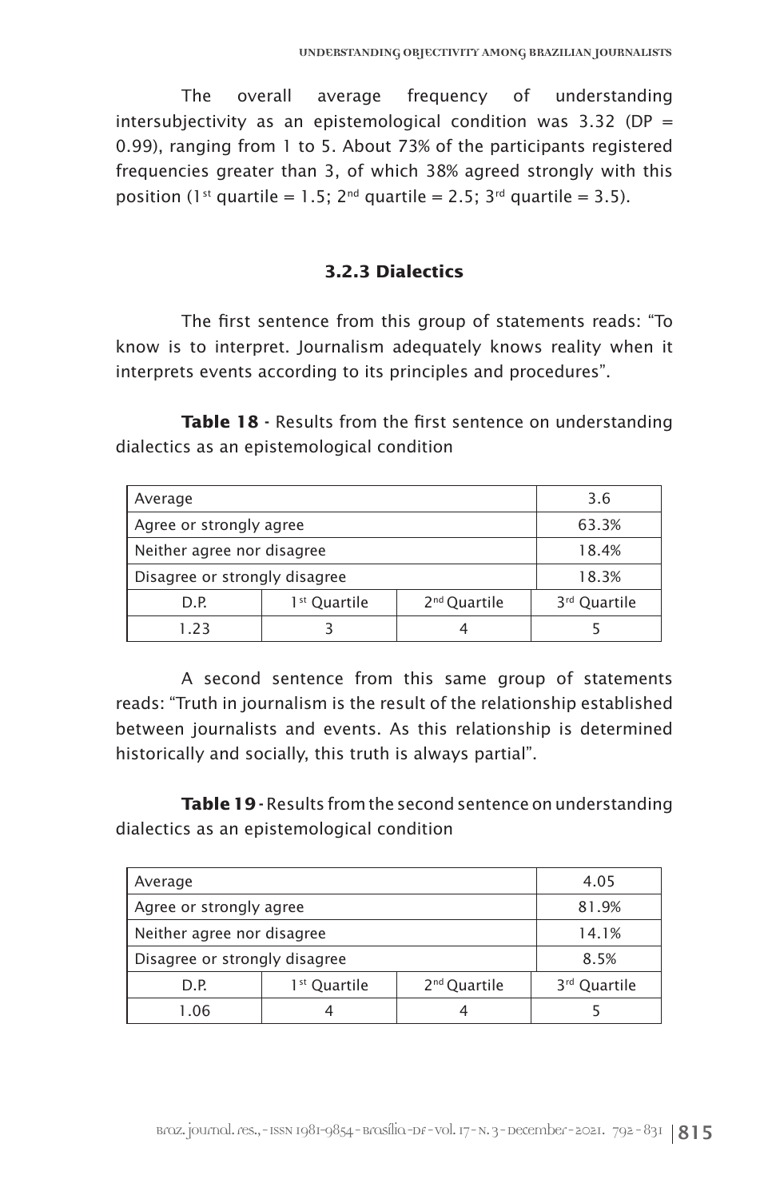The overall average frequency of understanding intersubjectivity as an epistemological condition was 3.32 (DP = 0.99), ranging from 1 to 5. About 73% of the participants registered frequencies greater than 3, of which 38% agreed strongly with this position (1<sup>st</sup> quartile = 1.5;  $2^{nd}$  quartile = 2.5;  $3^{rd}$  quartile = 3.5).

### **3.2.3 Dialectics**

The first sentence from this group of statements reads: "To know is to interpret. Journalism adequately knows reality when it interprets events according to its principles and procedures".

**Table 18** - Results from the first sentence on understanding dialectics as an epistemological condition

| Average                                                      |  |  | 3.6          |
|--------------------------------------------------------------|--|--|--------------|
| Agree or strongly agree                                      |  |  | 63.3%        |
| Neither agree nor disagree                                   |  |  | 18.4%        |
| Disagree or strongly disagree                                |  |  | 18.3%        |
| 2 <sup>nd</sup> Quartile<br>1 <sup>st</sup> Quartile<br>D.P. |  |  | 3rd Quartile |
| 1.23                                                         |  |  |              |

A second sentence from this same group of statements reads: "Truth in journalism is the result of the relationship established between journalists and events. As this relationship is determined historically and socially, this truth is always partial".

**Table 19** - Results from the second sentence on understanding dialectics as an epistemological condition

| Average                                                      |  |  | 4.05                     |
|--------------------------------------------------------------|--|--|--------------------------|
| Agree or strongly agree                                      |  |  | 81.9%                    |
| Neither agree nor disagree                                   |  |  | 14.1%                    |
| Disagree or strongly disagree                                |  |  | 8.5%                     |
| 2 <sup>nd</sup> Quartile<br>1 <sup>st</sup> Quartile<br>D.P. |  |  | 3 <sup>rd</sup> Quartile |
| 1.06                                                         |  |  |                          |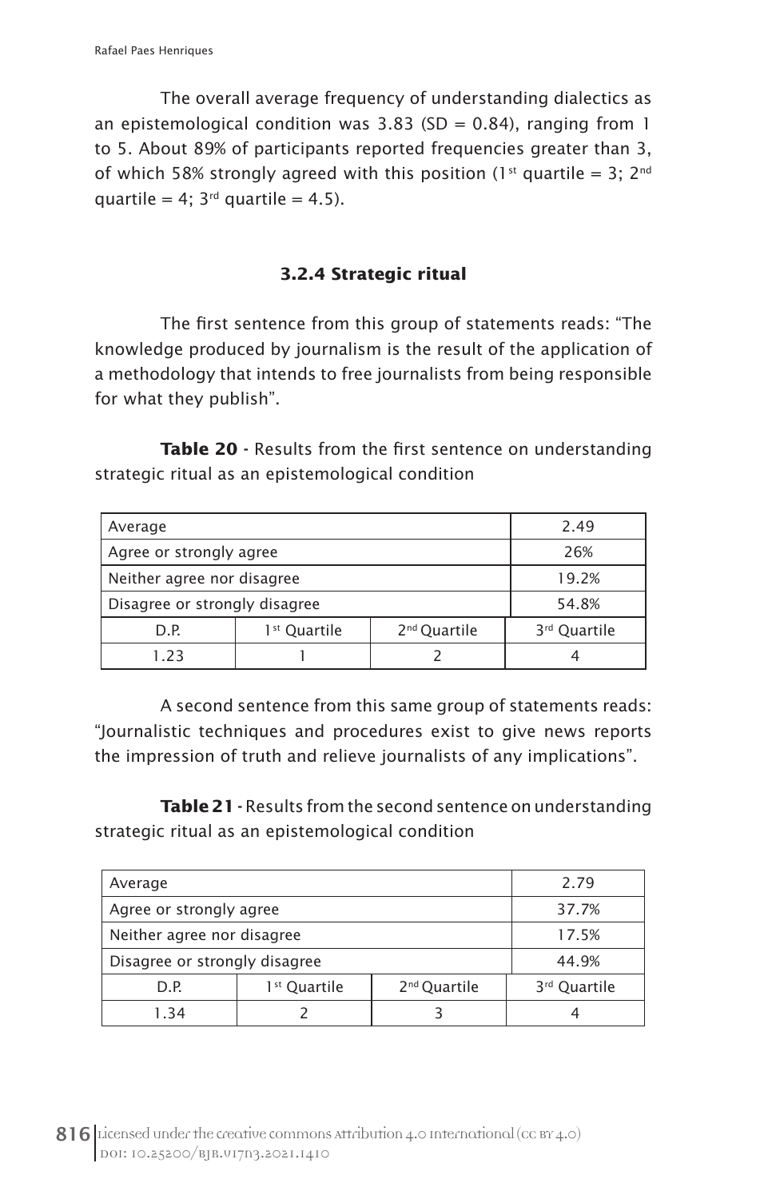The overall average frequency of understanding dialectics as an epistemological condition was  $3.83$  (SD = 0.84), ranging from 1 to 5. About 89% of participants reported frequencies greater than 3, of which 58% strongly agreed with this position (1<sup>st</sup> quartile = 3; 2<sup>nd</sup> quartile = 4;  $3<sup>rd</sup>$  quartile = 4.5).

### **3.2.4 Strategic ritual**

The first sentence from this group of statements reads: "The knowledge produced by journalism is the result of the application of a methodology that intends to free journalists from being responsible for what they publish".

Table 20 - Results from the first sentence on understanding strategic ritual as an epistemological condition

| Average                                                      |     |  | 2.49                     |
|--------------------------------------------------------------|-----|--|--------------------------|
| Agree or strongly agree                                      | 26% |  |                          |
| Neither agree nor disagree                                   |     |  | 19.2%                    |
| Disagree or strongly disagree                                |     |  | 54.8%                    |
| 2 <sup>nd</sup> Quartile<br>1 <sup>st</sup> Quartile<br>D.P. |     |  | 3 <sup>rd</sup> Quartile |
| 1.23                                                         |     |  |                          |

A second sentence from this same group of statements reads: "Journalistic techniques and procedures exist to give news reports the impression of truth and relieve journalists of any implications".

Table 21 - Results from the second sentence on understanding strategic ritual as an epistemological condition

| Average                                                      |  |  | 2.79                     |
|--------------------------------------------------------------|--|--|--------------------------|
| Agree or strongly agree                                      |  |  | 37.7%                    |
| Neither agree nor disagree                                   |  |  | 17.5%                    |
| Disagree or strongly disagree                                |  |  | 44.9%                    |
| 1 <sup>st</sup> Quartile<br>2 <sup>nd</sup> Quartile<br>D.P. |  |  | 3 <sup>rd</sup> Quartile |
| 1.34                                                         |  |  |                          |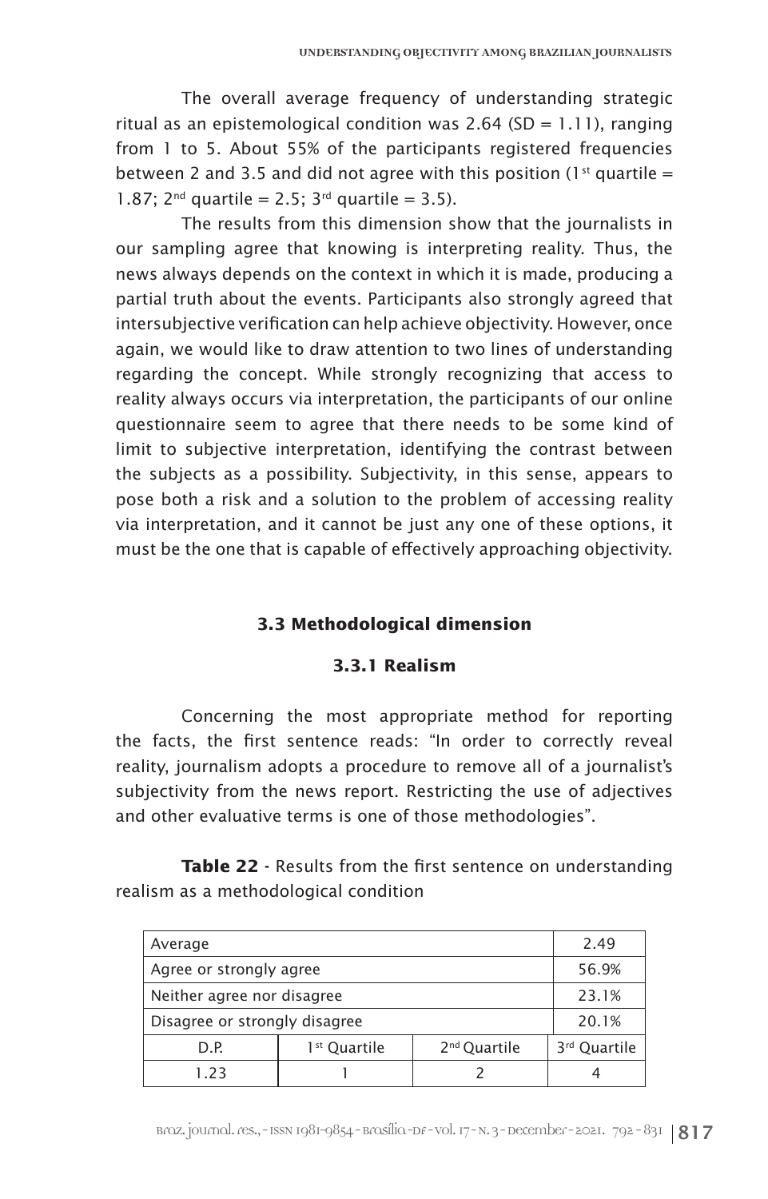The overall average frequency of understanding strategic ritual as an epistemological condition was 2.64 (SD =  $1.11$ ), ranging from 1 to 5. About 55% of the participants registered frequencies between 2 and 3.5 and did not agree with this position ( $1<sup>st</sup>$  quartile = 1.87; 2<sup>nd</sup> quartile = 2.5; 3<sup>rd</sup> quartile = 3.5).

The results from this dimension show that the journalists in our sampling agree that knowing is interpreting reality. Thus, the news always depends on the context in which it is made, producing a partial truth about the events. Participants also strongly agreed that intersubjective verification can help achieve objectivity. However, once again, we would like to draw attention to two lines of understanding regarding the concept. While strongly recognizing that access to reality always occurs via interpretation, the participants of our online questionnaire seem to agree that there needs to be some kind of limit to subjective interpretation, identifying the contrast between the subjects as a possibility. Subjectivity, in this sense, appears to pose both a risk and a solution to the problem of accessing reality via interpretation, and it cannot be just any one of these options, it must be the one that is capable of effectively approaching objectivity.

# **3.3 Methodological dimension**

#### **3.3.1 Realism**

Concerning the most appropriate method for reporting the facts, the first sentence reads: "In order to correctly reveal reality, journalism adopts a procedure to remove all of a journalist's subjectivity from the news report. Restricting the use of adjectives and other evaluative terms is one of those methodologies".

Table 22 - Results from the first sentence on understanding realism as a methodological condition

| Average                       | 2.49                     |                          |              |
|-------------------------------|--------------------------|--------------------------|--------------|
| Agree or strongly agree       | 56.9%                    |                          |              |
| Neither agree nor disagree    | 23.1%                    |                          |              |
| Disagree or strongly disagree | 20.1%                    |                          |              |
| D.P.                          | 1 <sup>st</sup> Quartile | 2 <sup>nd</sup> Quartile | 3rd Quartile |
| 1.23                          |                          |                          |              |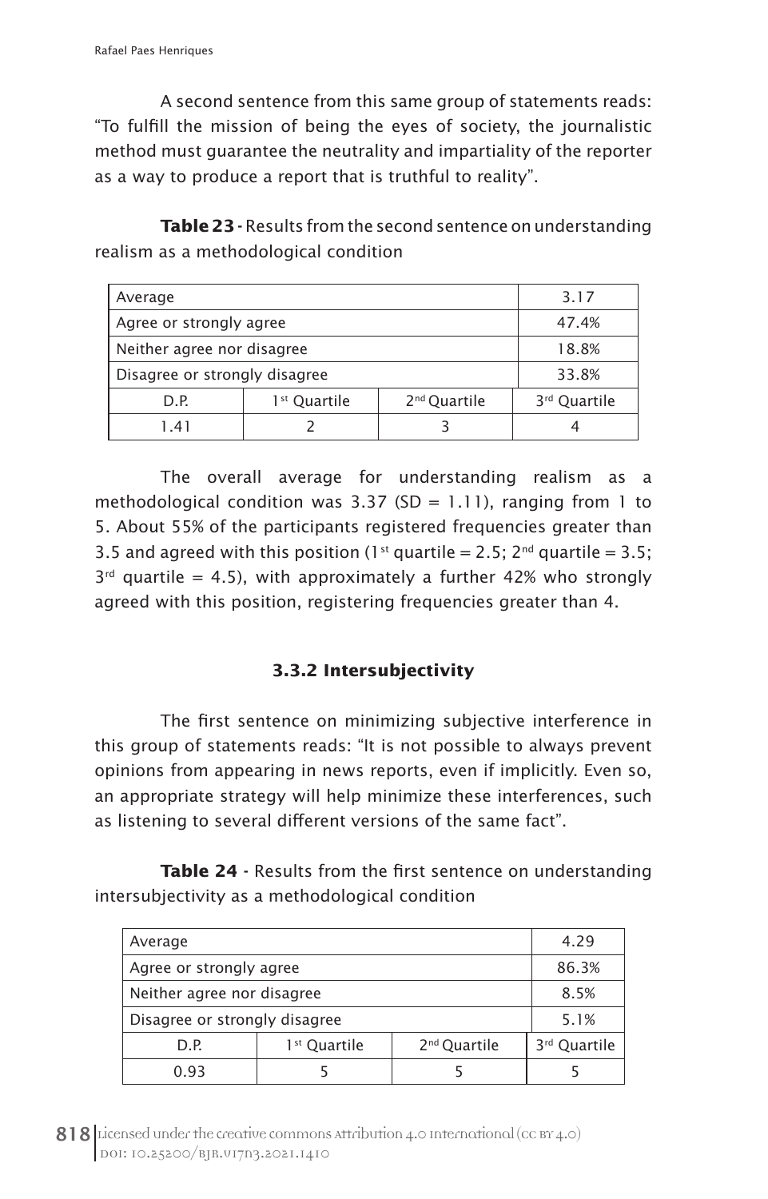A second sentence from this same group of statements reads: "To fulfill the mission of being the eyes of society, the journalistic method must guarantee the neutrality and impartiality of the reporter as a way to produce a report that is truthful to reality".

Table 23 - Results from the second sentence on understanding realism as a methodological condition

| Average                                                      |  |  | 3.17                     |
|--------------------------------------------------------------|--|--|--------------------------|
| Agree or strongly agree                                      |  |  | 47.4%                    |
| Neither agree nor disagree                                   |  |  | 18.8%                    |
| Disagree or strongly disagree                                |  |  | 33.8%                    |
| 2 <sup>nd</sup> Quartile<br>1 <sup>st</sup> Quartile<br>D.P. |  |  | 3 <sup>rd</sup> Quartile |
| 1.41                                                         |  |  |                          |

The overall average for understanding realism as a methodological condition was 3.37 (SD = 1.11), ranging from 1 to 5. About 55% of the participants registered frequencies greater than 3.5 and agreed with this position (1<sup>st</sup> quartile = 2.5; 2<sup>nd</sup> quartile = 3.5;  $3<sup>rd</sup>$  quartile = 4.5), with approximately a further 42% who strongly agreed with this position, registering frequencies greater than 4.

# **3.3.2 Intersubjectivity**

The first sentence on minimizing subjective interference in this group of statements reads: "It is not possible to always prevent opinions from appearing in news reports, even if implicitly. Even so, an appropriate strategy will help minimize these interferences, such as listening to several different versions of the same fact".

Table 24 - Results from the first sentence on understanding intersubjectivity as a methodological condition

| Average                                                      |  |  | 4.29                     |
|--------------------------------------------------------------|--|--|--------------------------|
| Agree or strongly agree                                      |  |  | 86.3%                    |
| Neither agree nor disagree                                   |  |  | 8.5%                     |
| Disagree or strongly disagree                                |  |  | 5.1%                     |
| 1 <sup>st</sup> Quartile<br>2 <sup>nd</sup> Quartile<br>D.P. |  |  | 3 <sup>rd</sup> Quartile |
| 0.93                                                         |  |  |                          |

818 Licensed under the creative commons attribution 4.0 International (cc BY 4.0) DOI: 10.25200/BJR.v17n3.2021.1410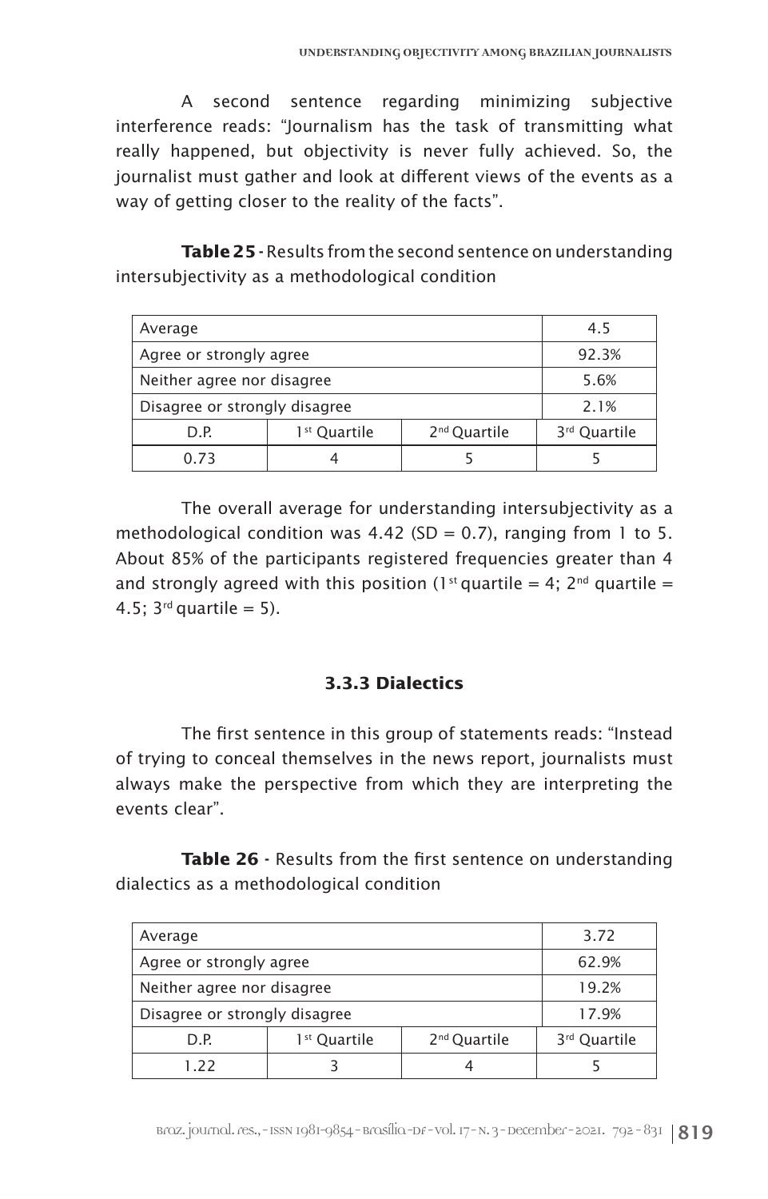A second sentence regarding minimizing subjective interference reads: "Journalism has the task of transmitting what really happened, but objectivity is never fully achieved. So, the journalist must gather and look at different views of the events as a way of getting closer to the reality of the facts".

Table 25 - Results from the second sentence on understanding intersubjectivity as a methodological condition

| Average                                                      |  |  | 4.5                      |
|--------------------------------------------------------------|--|--|--------------------------|
| Agree or strongly agree                                      |  |  | 92.3%                    |
| Neither agree nor disagree                                   |  |  | 5.6%                     |
| Disagree or strongly disagree                                |  |  | 2.1%                     |
| 2 <sup>nd</sup> Quartile<br>1 <sup>st</sup> Quartile<br>D.P. |  |  | 3 <sup>rd</sup> Quartile |
| 0.73                                                         |  |  |                          |

The overall average for understanding intersubjectivity as a methodological condition was 4.42 (SD = 0.7), ranging from 1 to 5. About 85% of the participants registered frequencies greater than 4 and strongly agreed with this position (1<sup>st</sup> quartile = 4; 2<sup>nd</sup> quartile = 4.5;  $3^{rd}$  quartile = 5).

#### **3.3.3 Dialectics**

The first sentence in this group of statements reads: "Instead of trying to conceal themselves in the news report, journalists must always make the perspective from which they are interpreting the events clear".

Table 26 - Results from the first sentence on understanding dialectics as a methodological condition

| Average                                                      |  |  | 3.72                     |
|--------------------------------------------------------------|--|--|--------------------------|
| Agree or strongly agree                                      |  |  | 62.9%                    |
| Neither agree nor disagree                                   |  |  | 19.2%                    |
| Disagree or strongly disagree                                |  |  | 17.9%                    |
| 1 <sup>st</sup> Quartile<br>2 <sup>nd</sup> Quartile<br>D.P. |  |  | 3 <sup>rd</sup> Quartile |
| 1.22                                                         |  |  |                          |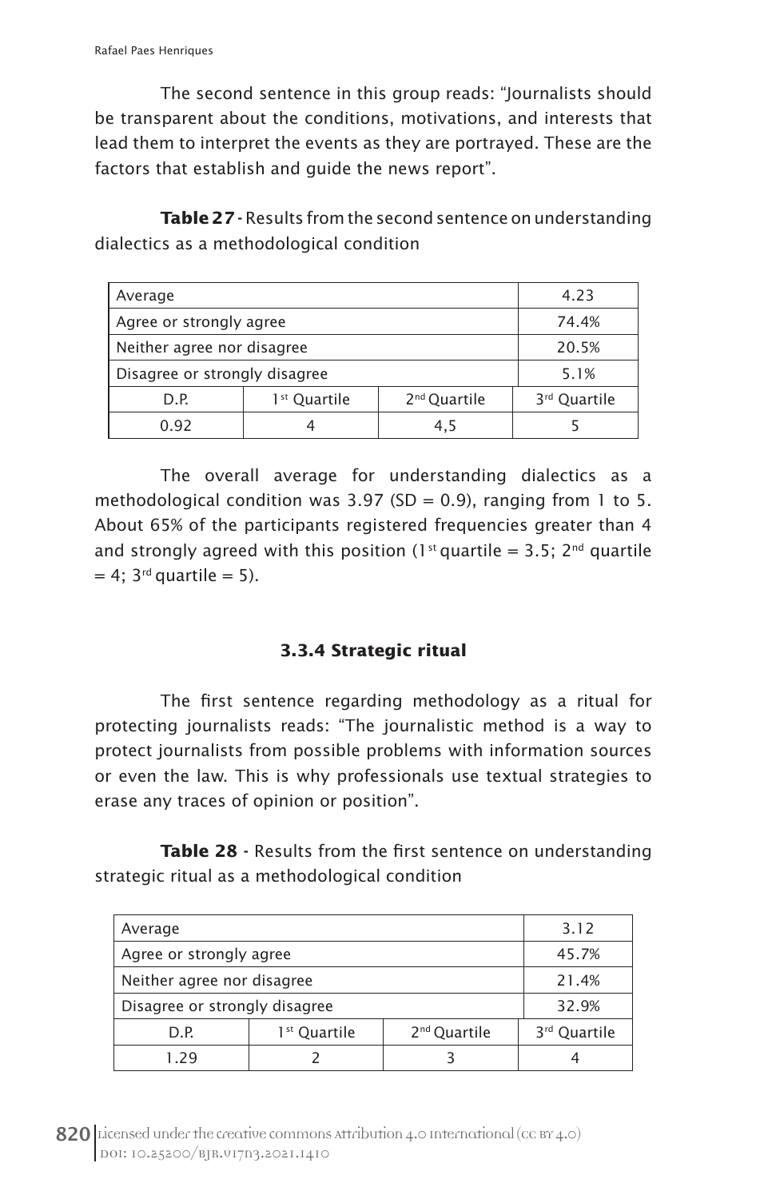The second sentence in this group reads: "Journalists should be transparent about the conditions, motivations, and interests that lead them to interpret the events as they are portrayed. These are the factors that establish and guide the news report".

Table 27 - Results from the second sentence on understanding dialectics as a methodological condition

| Average                       |              |                          | 4.23                     |
|-------------------------------|--------------|--------------------------|--------------------------|
| Agree or strongly agree       |              |                          | 74.4%                    |
| Neither agree nor disagree    |              |                          | 20.5%                    |
| Disagree or strongly disagree |              |                          | 5.1%                     |
| D.P.                          | 1st Quartile | 2 <sup>nd</sup> Quartile | 3 <sup>rd</sup> Quartile |
| 0.92                          | 4            | 4.5                      |                          |

The overall average for understanding dialectics as a methodological condition was  $3.97$  (SD = 0.9), ranging from 1 to 5. About 65% of the participants registered frequencies greater than 4 and strongly agreed with this position (1<sup>st</sup> quartile = 3.5; 2<sup>nd</sup> quartile  $= 4$ ; 3<sup>rd</sup> quartile  $= 5$ ).

# **3.3.4 Strategic ritual**

The first sentence regarding methodology as a ritual for protecting journalists reads: "The journalistic method is a way to protect journalists from possible problems with information sources or even the law. This is why professionals use textual strategies to erase any traces of opinion or position".

Table 28 - Results from the first sentence on understanding strategic ritual as a methodological condition

| Average                       |                          |                          | 3.12                     |
|-------------------------------|--------------------------|--------------------------|--------------------------|
| Agree or strongly agree       |                          |                          | 45.7%                    |
| Neither agree nor disagree    |                          |                          | 21.4%                    |
| Disagree or strongly disagree |                          |                          | 32.9%                    |
| D.P.                          | 1 <sup>st</sup> Quartile | 2 <sup>nd</sup> Quartile | 3 <sup>rd</sup> Quartile |
| 1.29                          |                          |                          |                          |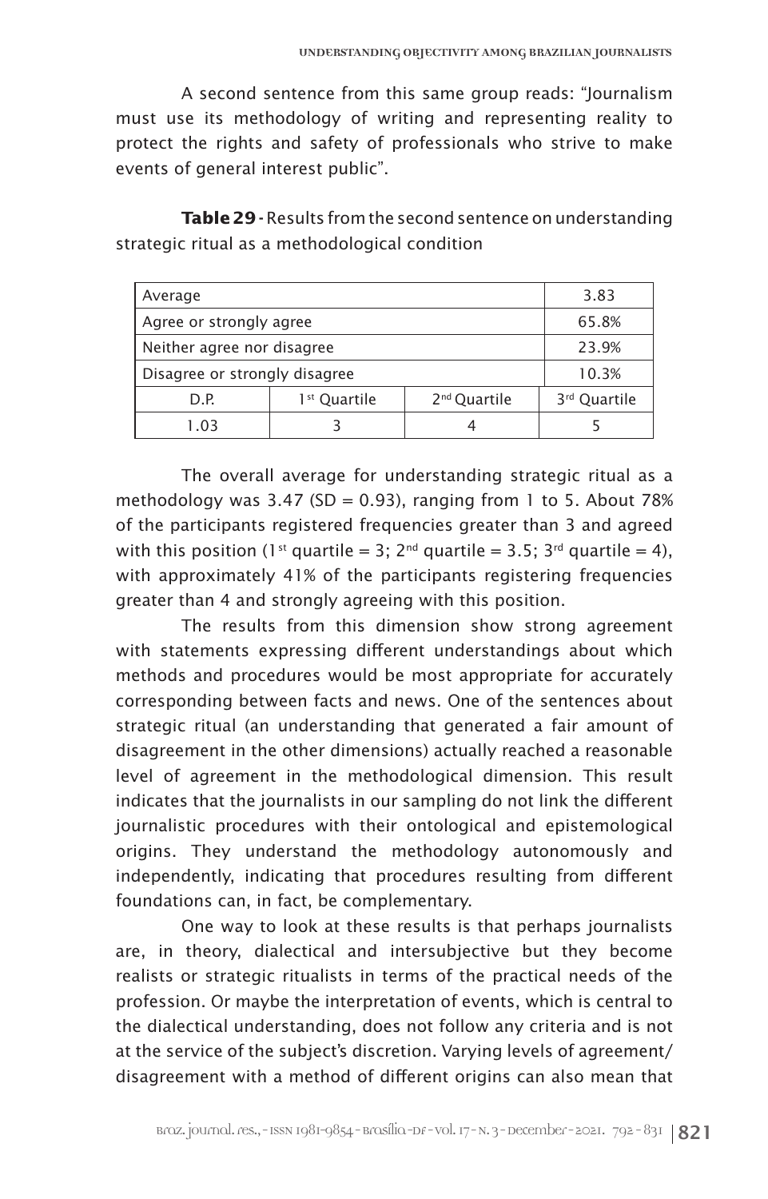A second sentence from this same group reads: "Journalism must use its methodology of writing and representing reality to protect the rights and safety of professionals who strive to make events of general interest public".

**Table 29 -** Results from the second sentence on understanding strategic ritual as a methodological condition

| Average                       |                          |                          | 3.83                     |
|-------------------------------|--------------------------|--------------------------|--------------------------|
| Agree or strongly agree       |                          |                          | 65.8%                    |
| Neither agree nor disagree    |                          |                          | 23.9%                    |
| Disagree or strongly disagree |                          |                          | 10.3%                    |
| D.P.                          | 1 <sup>st</sup> Quartile | 2 <sup>nd</sup> Quartile | 3 <sup>rd</sup> Quartile |
| 1.03                          |                          | 4                        |                          |

The overall average for understanding strategic ritual as a methodology was  $3.47$  (SD = 0.93), ranging from 1 to 5. About 78% of the participants registered frequencies greater than 3 and agreed with this position (1<sup>st</sup> quartile = 3; 2<sup>nd</sup> quartile = 3.5; 3<sup>rd</sup> quartile = 4), with approximately 41% of the participants registering frequencies greater than 4 and strongly agreeing with this position.

The results from this dimension show strong agreement with statements expressing different understandings about which methods and procedures would be most appropriate for accurately corresponding between facts and news. One of the sentences about strategic ritual (an understanding that generated a fair amount of disagreement in the other dimensions) actually reached a reasonable level of agreement in the methodological dimension. This result indicates that the journalists in our sampling do not link the different journalistic procedures with their ontological and epistemological origins. They understand the methodology autonomously and independently, indicating that procedures resulting from different foundations can, in fact, be complementary.

One way to look at these results is that perhaps journalists are, in theory, dialectical and intersubjective but they become realists or strategic ritualists in terms of the practical needs of the profession. Or maybe the interpretation of events, which is central to the dialectical understanding, does not follow any criteria and is not at the service of the subject's discretion. Varying levels of agreement/ disagreement with a method of different origins can also mean that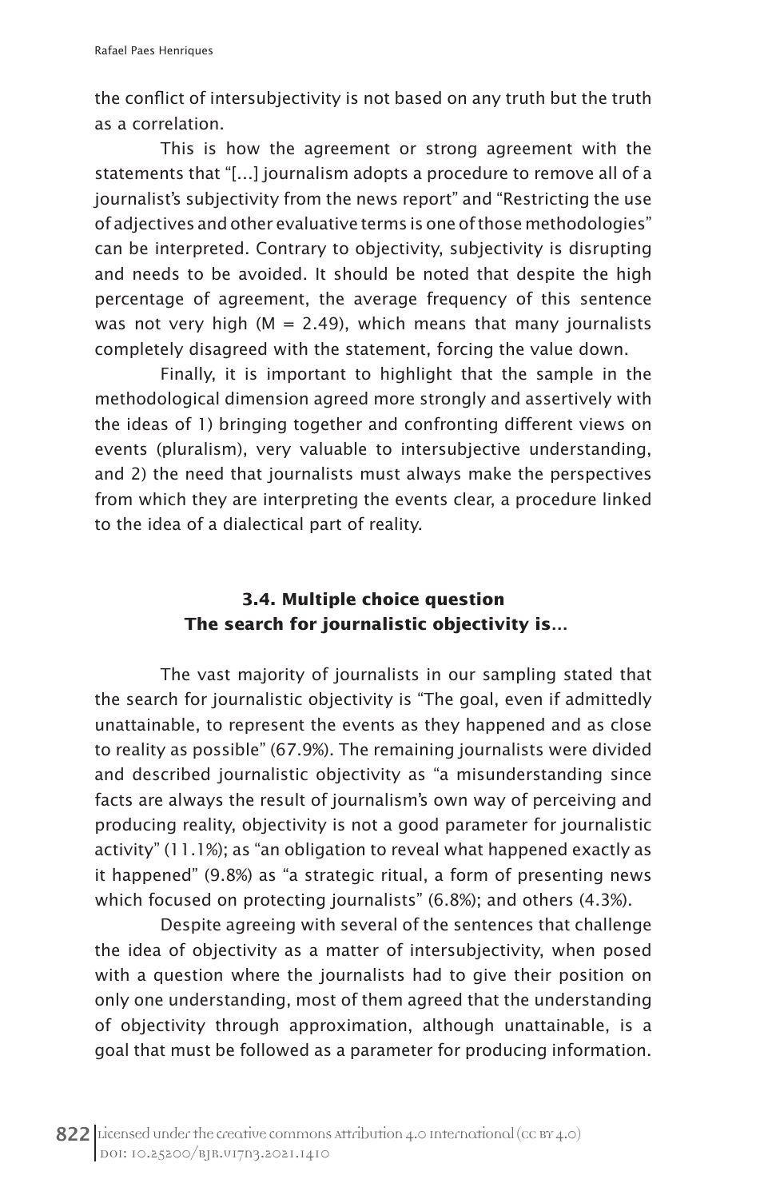the conflict of intersubjectivity is not based on any truth but the truth as a correlation.

This is how the agreement or strong agreement with the statements that "[…] journalism adopts a procedure to remove all of a journalist's subjectivity from the news report" and "Restricting the use of adjectives and other evaluative terms is one of those methodologies" can be interpreted. Contrary to objectivity, subjectivity is disrupting and needs to be avoided. It should be noted that despite the high percentage of agreement, the average frequency of this sentence was not very high ( $M = 2.49$ ), which means that many journalists completely disagreed with the statement, forcing the value down.

Finally, it is important to highlight that the sample in the methodological dimension agreed more strongly and assertively with the ideas of 1) bringing together and confronting different views on events (pluralism), very valuable to intersubjective understanding, and 2) the need that journalists must always make the perspectives from which they are interpreting the events clear, a procedure linked to the idea of a dialectical part of reality.

# **3.4. Multiple choice question The search for journalistic objectivity is…**

The vast majority of journalists in our sampling stated that the search for journalistic objectivity is "The goal, even if admittedly unattainable, to represent the events as they happened and as close to reality as possible" (67.9%). The remaining journalists were divided and described journalistic objectivity as "a misunderstanding since facts are always the result of journalism's own way of perceiving and producing reality, objectivity is not a good parameter for journalistic activity" (11.1%); as "an obligation to reveal what happened exactly as it happened" (9.8%) as "a strategic ritual, a form of presenting news which focused on protecting journalists" (6.8%); and others (4.3%).

Despite agreeing with several of the sentences that challenge the idea of objectivity as a matter of intersubjectivity, when posed with a question where the journalists had to give their position on only one understanding, most of them agreed that the understanding of objectivity through approximation, although unattainable, is a goal that must be followed as a parameter for producing information.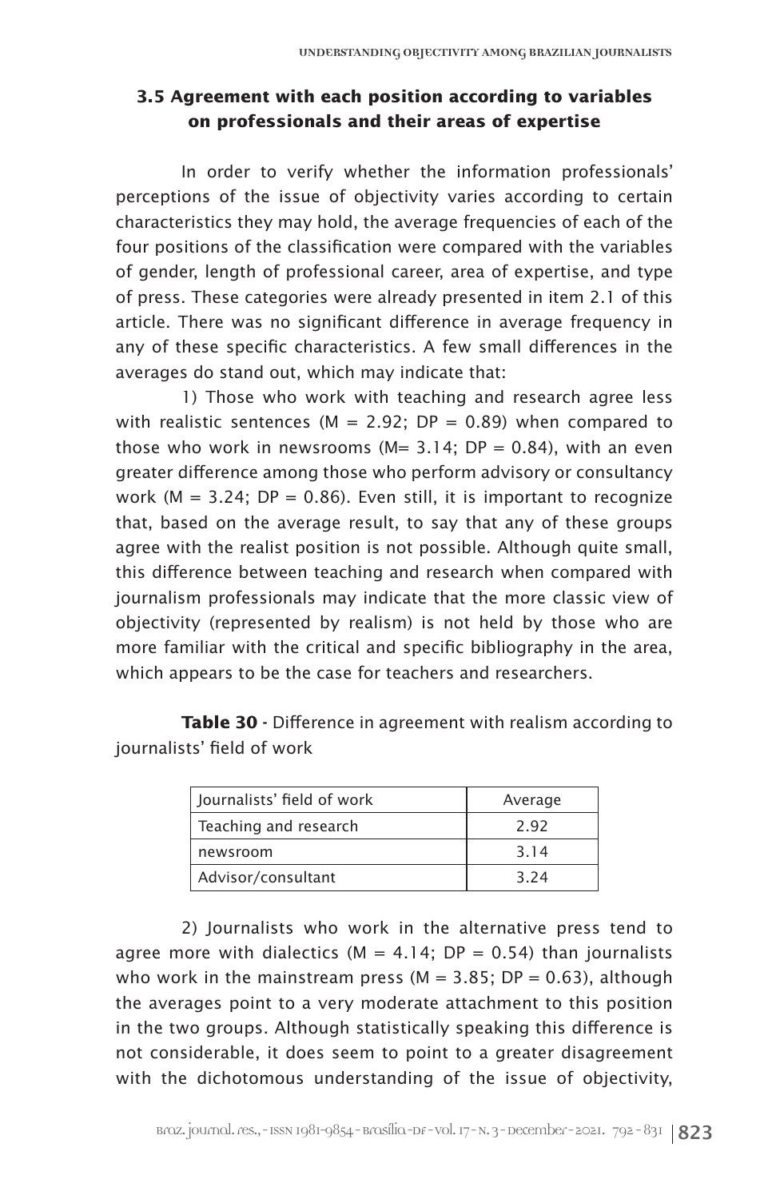# **3.5 Agreement with each position according to variables on professionals and their areas of expertise**

In order to verify whether the information professionals' perceptions of the issue of objectivity varies according to certain characteristics they may hold, the average frequencies of each of the four positions of the classification were compared with the variables of gender, length of professional career, area of expertise, and type of press. These categories were already presented in item 2.1 of this article. There was no significant difference in average frequency in any of these specific characteristics. A few small differences in the averages do stand out, which may indicate that:

1) Those who work with teaching and research agree less with realistic sentences (M = 2.92; DP = 0.89) when compared to those who work in newsrooms ( $M = 3.14$ ; DP = 0.84), with an even greater difference among those who perform advisory or consultancy work ( $M = 3.24$ ; DP = 0.86). Even still, it is important to recognize that, based on the average result, to say that any of these groups agree with the realist position is not possible. Although quite small, this difference between teaching and research when compared with journalism professionals may indicate that the more classic view of objectivity (represented by realism) is not held by those who are more familiar with the critical and specific bibliography in the area, which appears to be the case for teachers and researchers.

| Journalists' field of work | Average |
|----------------------------|---------|
| Teaching and research      | 2.92    |
| newsroom                   | 3.14    |
| Advisor/consultant         | 3.24    |

Table 30 - Difference in agreement with realism according to journalists' field of work

2) Journalists who work in the alternative press tend to agree more with dialectics ( $M = 4.14$ ; DP = 0.54) than journalists who work in the mainstream press ( $M = 3.85$ ; DP = 0.63), although the averages point to a very moderate attachment to this position in the two groups. Although statistically speaking this difference is not considerable, it does seem to point to a greater disagreement with the dichotomous understanding of the issue of objectivity,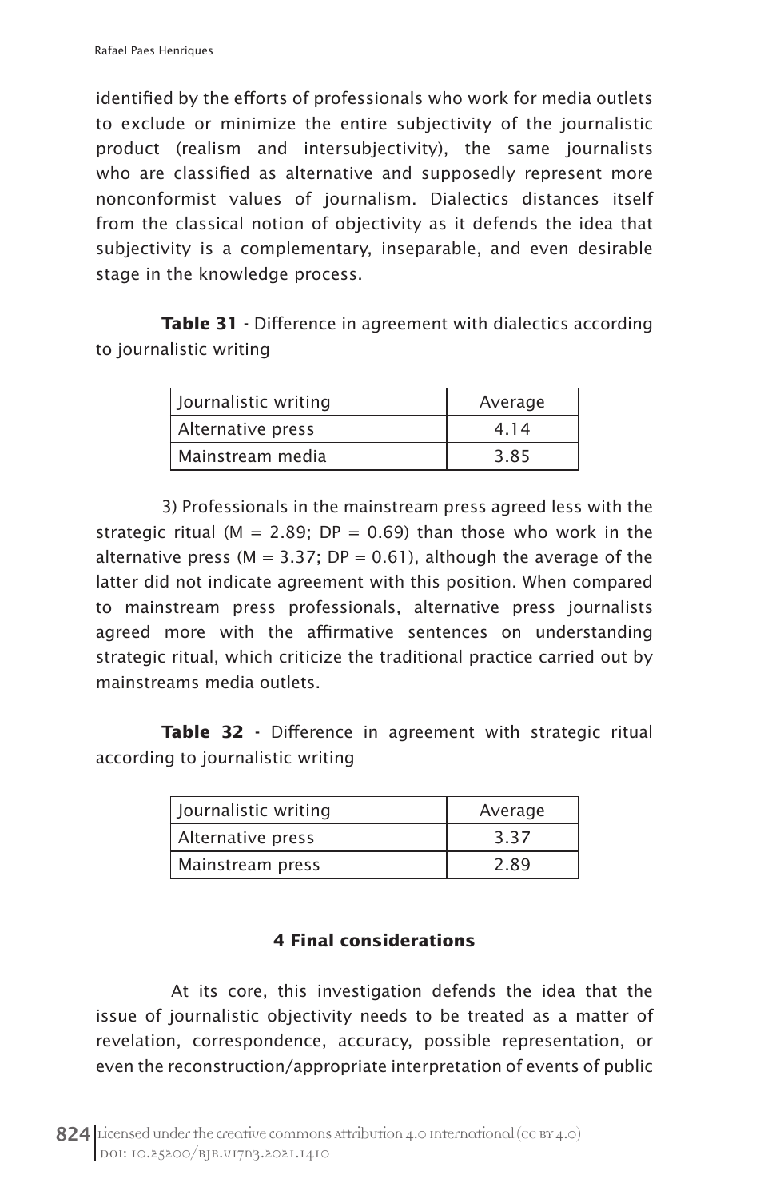identified by the efforts of professionals who work for media outlets to exclude or minimize the entire subjectivity of the journalistic product (realism and intersubjectivity), the same journalists who are classified as alternative and supposedly represent more nonconformist values of journalism. Dialectics distances itself from the classical notion of objectivity as it defends the idea that subjectivity is a complementary, inseparable, and even desirable stage in the knowledge process.

**Table 31** - Difference in agreement with dialectics according to journalistic writing

| Journalistic writing | Average |
|----------------------|---------|
| Alternative press    | 4.14    |
| Mainstream media     | 3.85    |

3) Professionals in the mainstream press agreed less with the strategic ritual ( $M = 2.89$ ; DP = 0.69) than those who work in the alternative press ( $M = 3.37$ ; DP = 0.61), although the average of the latter did not indicate agreement with this position. When compared to mainstream press professionals, alternative press journalists agreed more with the affirmative sentences on understanding strategic ritual, which criticize the traditional practice carried out by mainstreams media outlets.

Table 32 - Difference in agreement with strategic ritual according to journalistic writing

| Journalistic writing | Average |
|----------------------|---------|
| Alternative press    | 3.37    |
| Mainstream press     | 2.89    |

# **4 Final considerations**

 At its core, this investigation defends the idea that the issue of journalistic objectivity needs to be treated as a matter of revelation, correspondence, accuracy, possible representation, or even the reconstruction/appropriate interpretation of events of public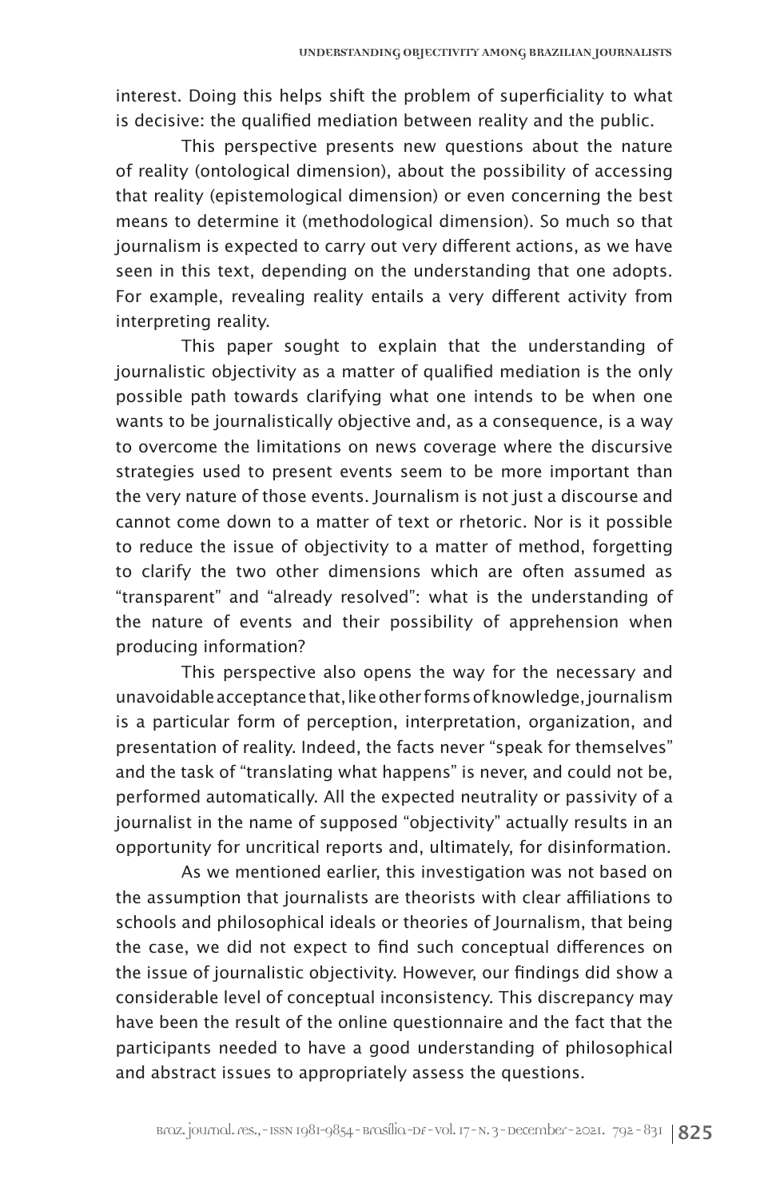interest. Doing this helps shift the problem of superficiality to what is decisive: the qualified mediation between reality and the public.

This perspective presents new questions about the nature of reality (ontological dimension), about the possibility of accessing that reality (epistemological dimension) or even concerning the best means to determine it (methodological dimension). So much so that journalism is expected to carry out very different actions, as we have seen in this text, depending on the understanding that one adopts. For example, revealing reality entails a very different activity from interpreting reality.

This paper sought to explain that the understanding of journalistic objectivity as a matter of qualified mediation is the only possible path towards clarifying what one intends to be when one wants to be journalistically objective and, as a consequence, is a way to overcome the limitations on news coverage where the discursive strategies used to present events seem to be more important than the very nature of those events. Journalism is not just a discourse and cannot come down to a matter of text or rhetoric. Nor is it possible to reduce the issue of objectivity to a matter of method, forgetting to clarify the two other dimensions which are often assumed as "transparent" and "already resolved": what is the understanding of the nature of events and their possibility of apprehension when producing information?

This perspective also opens the way for the necessary and unavoidable acceptance that, like other forms of knowledge, journalism is a particular form of perception, interpretation, organization, and presentation of reality. Indeed, the facts never "speak for themselves" and the task of "translating what happens" is never, and could not be, performed automatically. All the expected neutrality or passivity of a journalist in the name of supposed "objectivity" actually results in an opportunity for uncritical reports and, ultimately, for disinformation.

As we mentioned earlier, this investigation was not based on the assumption that journalists are theorists with clear affiliations to schools and philosophical ideals or theories of Journalism, that being the case, we did not expect to find such conceptual differences on the issue of journalistic objectivity. However, our findings did show a considerable level of conceptual inconsistency. This discrepancy may have been the result of the online questionnaire and the fact that the participants needed to have a good understanding of philosophical and abstract issues to appropriately assess the questions.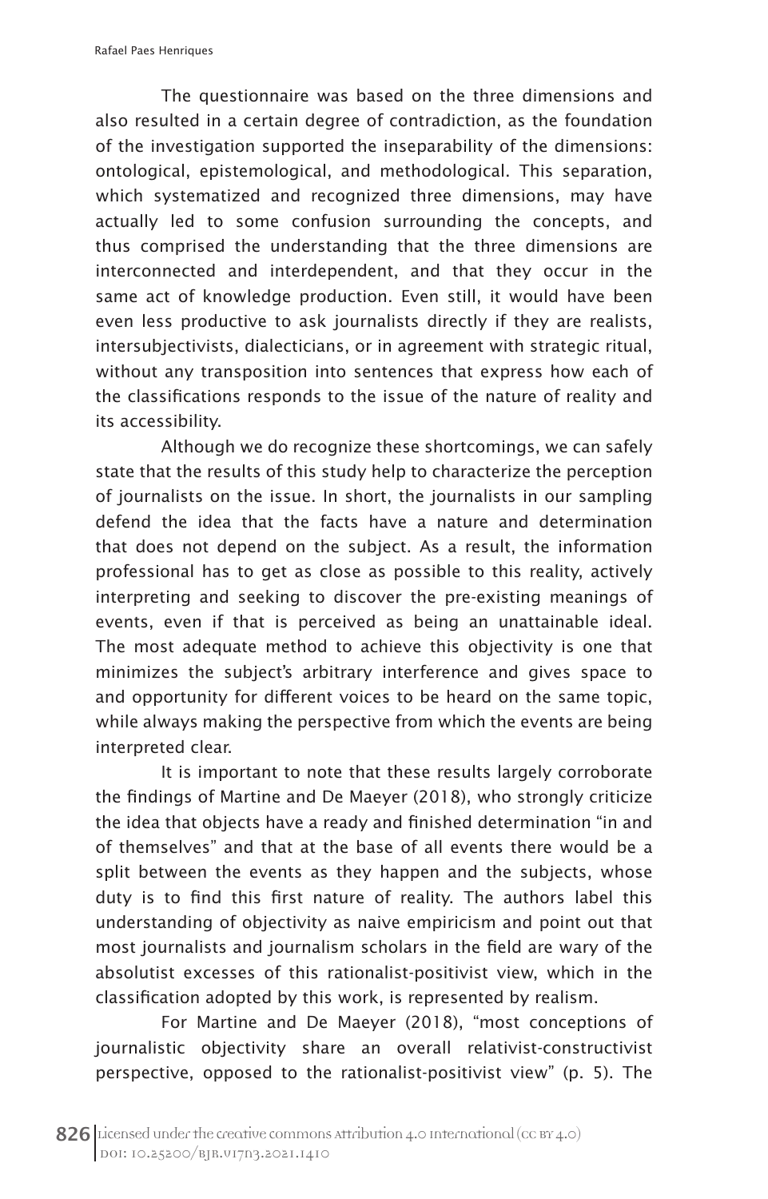The questionnaire was based on the three dimensions and also resulted in a certain degree of contradiction, as the foundation of the investigation supported the inseparability of the dimensions: ontological, epistemological, and methodological. This separation, which systematized and recognized three dimensions, may have actually led to some confusion surrounding the concepts, and thus comprised the understanding that the three dimensions are interconnected and interdependent, and that they occur in the same act of knowledge production. Even still, it would have been even less productive to ask journalists directly if they are realists, intersubjectivists, dialecticians, or in agreement with strategic ritual, without any transposition into sentences that express how each of the classifications responds to the issue of the nature of reality and its accessibility.

Although we do recognize these shortcomings, we can safely state that the results of this study help to characterize the perception of journalists on the issue. In short, the journalists in our sampling defend the idea that the facts have a nature and determination that does not depend on the subject. As a result, the information professional has to get as close as possible to this reality, actively interpreting and seeking to discover the pre-existing meanings of events, even if that is perceived as being an unattainable ideal. The most adequate method to achieve this objectivity is one that minimizes the subject's arbitrary interference and gives space to and opportunity for different voices to be heard on the same topic, while always making the perspective from which the events are being interpreted clear.

It is important to note that these results largely corroborate the findings of Martine and De Maeyer (2018), who strongly criticize the idea that objects have a ready and finished determination "in and of themselves" and that at the base of all events there would be a split between the events as they happen and the subjects, whose duty is to find this first nature of reality. The authors label this understanding of objectivity as naive empiricism and point out that most journalists and journalism scholars in the field are wary of the absolutist excesses of this rationalist-positivist view, which in the classification adopted by this work, is represented by realism.

For Martine and De Maeyer (2018), "most conceptions of journalistic objectivity share an overall relativist-constructivist perspective, opposed to the rationalist-positivist view" (p. 5). The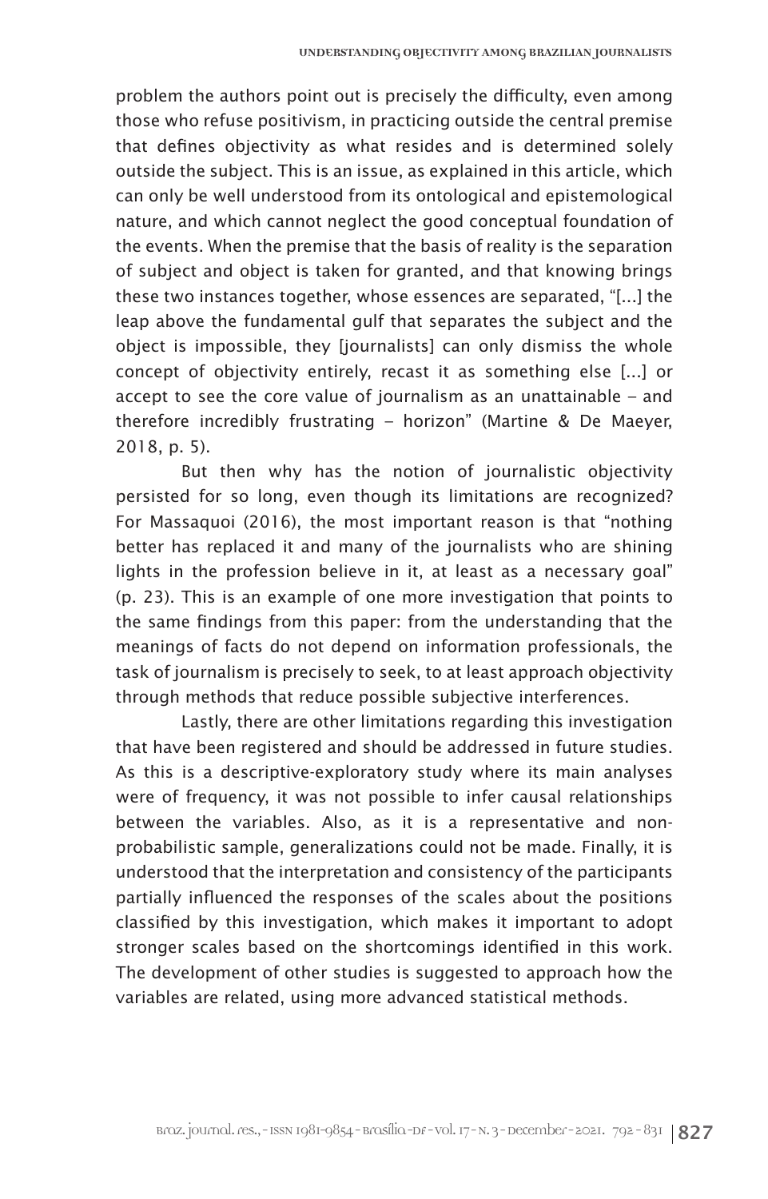problem the authors point out is precisely the difficulty, even among those who refuse positivism, in practicing outside the central premise that defines objectivity as what resides and is determined solely outside the subject. This is an issue, as explained in this article, which can only be well understood from its ontological and epistemological nature, and which cannot neglect the good conceptual foundation of the events. When the premise that the basis of reality is the separation of subject and object is taken for granted, and that knowing brings these two instances together, whose essences are separated, "[...] the leap above the fundamental gulf that separates the subject and the object is impossible, they [journalists] can only dismiss the whole concept of objectivity entirely, recast it as something else [...] or accept to see the core value of journalism as an unattainable – and therefore incredibly frustrating – horizon" (Martine & De Maeyer, 2018, p. 5).

But then why has the notion of journalistic objectivity persisted for so long, even though its limitations are recognized? For Massaquoi (2016), the most important reason is that "nothing better has replaced it and many of the journalists who are shining lights in the profession believe in it, at least as a necessary goal" (p. 23). This is an example of one more investigation that points to the same findings from this paper: from the understanding that the meanings of facts do not depend on information professionals, the task of journalism is precisely to seek, to at least approach objectivity through methods that reduce possible subjective interferences.

Lastly, there are other limitations regarding this investigation that have been registered and should be addressed in future studies. As this is a descriptive-exploratory study where its main analyses were of frequency, it was not possible to infer causal relationships between the variables. Also, as it is a representative and nonprobabilistic sample, generalizations could not be made. Finally, it is understood that the interpretation and consistency of the participants partially influenced the responses of the scales about the positions classified by this investigation, which makes it important to adopt stronger scales based on the shortcomings identified in this work. The development of other studies is suggested to approach how the variables are related, using more advanced statistical methods.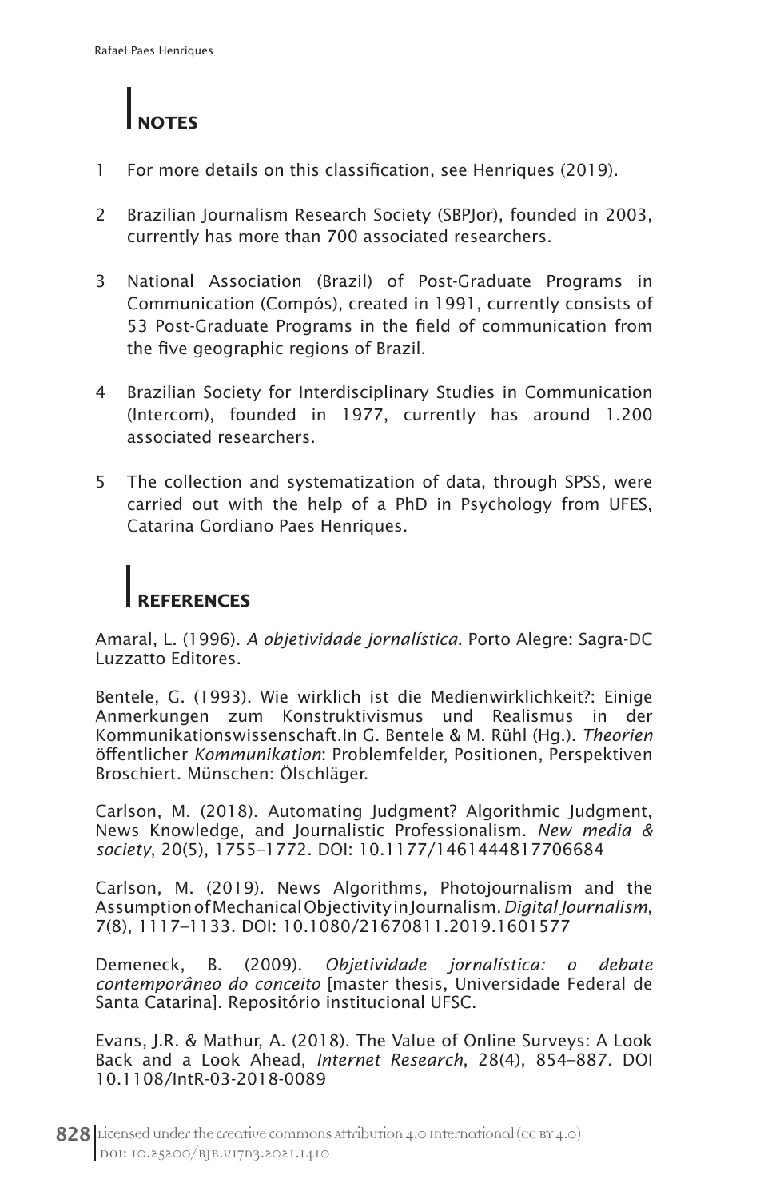

- 1 For more details on this classification, see Henriques (2019).
- 2 Brazilian Journalism Research Society (SBPJor), founded in 2003, currently has more than 700 associated researchers.
- 3 National Association (Brazil) of Post-Graduate Programs in Communication (Compós), created in 1991, currently consists of 53 Post-Graduate Programs in the field of communication from the five geographic regions of Brazil.
- 4 Brazilian Society for Interdisciplinary Studies in Communication (Intercom), founded in 1977, currently has around 1.200 associated researchers.
- 5 The collection and systematization of data, through SPSS, were carried out with the help of a PhD in Psychology from UFES, Catarina Gordiano Paes Henriques.

# **REFERENCES**

Amaral, L. (1996). *A objetividade jornalística*. Porto Alegre: Sagra-DC Luzzatto Editores.

Bentele, G. (1993). Wie wirklich ist die Medienwirklichkeit?: Einige Anmerkungen zum Konstruktivismus und Realismus in der Kommunikationswissenschaft.In G. Bentele & M. Rühl (Hg.). *Theorien*  öffentlicher *Kommunikation*: Problemfelder, Positionen, Perspektiven Broschiert. Münschen: Ölschläger.

Carlson, M. (2018). Automating Judgment? Algorithmic Judgment, News Knowledge, and Journalistic Professionalism. *New media & society*, 20(5), 1755–1772. DOI: 10.1177/1461444817706684

Carlson, M. (2019). News Algorithms, Photojournalism and the Assumption of Mechanical Objectivity in Journalism. *Digital Journalism*, 7(8), 1117–1133. DOI: 10.1080/21670811.2019.1601577

Demeneck, B. (2009). *Objetividade jornalística: o debate contemporâneo do conceito* [master thesis, Universidade Federal de Santa Catarina]. Repositório institucional UFSC.

Evans, J.R. & Mathur, A. (2018). The Value of Online Surveys: A Look Back and a Look Ahead, *Internet Research*, 28(4), 854–887. DOI 10.1108/IntR-03-2018-0089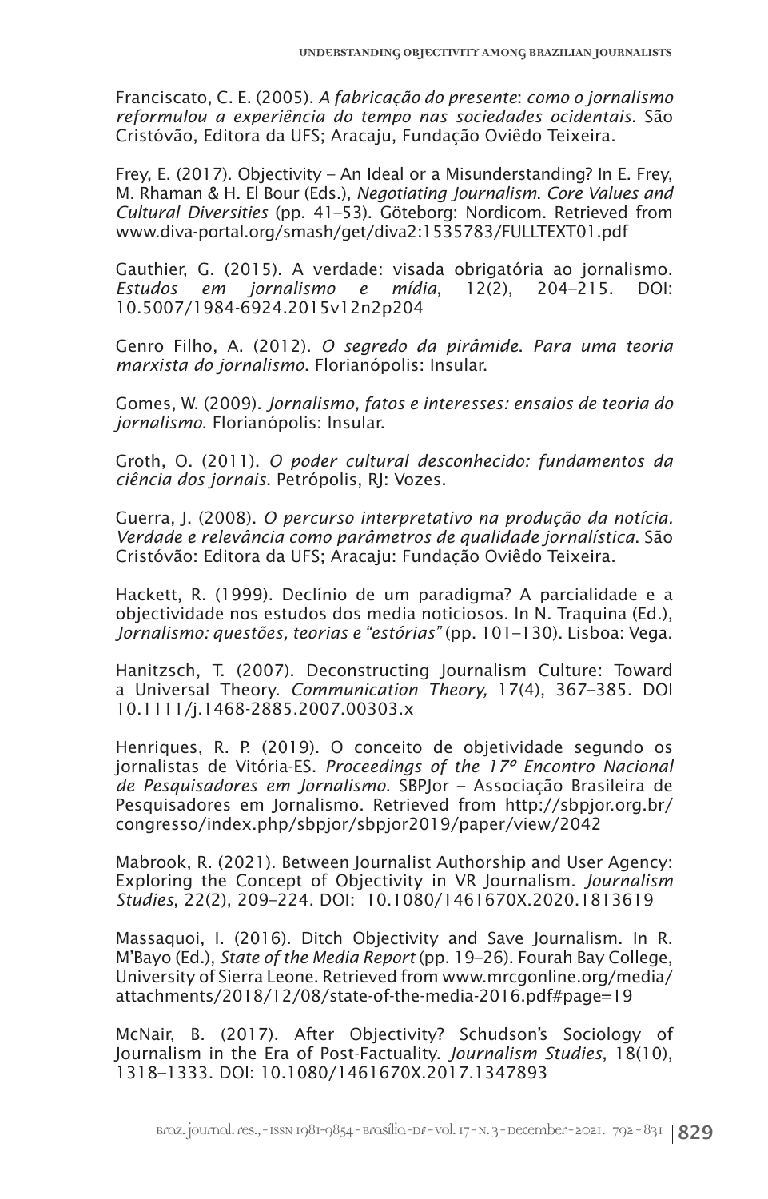Franciscato, C. E. (2005). *A fabricação do presente*: *como o jornalismo reformulou a experiência do tempo nas sociedades ocidentais*. São Cristóvão, Editora da UFS; Aracaju, Fundação Oviêdo Teixeira.

Frey, E. (2017). Objectivity – An Ideal or a Misunderstanding? In E. Frey, M. Rhaman & H. El Bour (Eds.), *Negotiating Journalism*. *Core Values and Cultural Diversities* (pp. 41–53). Göteborg: Nordicom. Retrieved from www.diva-portal.org/smash/get/diva2:1535783/FULLTEXT01.pdf

Gauthier, G. (2015). A verdade: visada obrigatória ao jornalismo.<br>Estudos em jornalismo e mídia, 12(2), 204-215. DOI: *Estudos em jornalismo e mídia*, 12(2), 204–215. DOI: 10.5007/1984-6924.2015v12n2p204

Genro Filho, A. (2012). *O segredo da pirâmide*. *Para uma teoria marxista do jornalismo*. Florianópolis: Insular.

Gomes, W. (2009). *Jornalismo, fatos e interesses: ensaios de teoria do jornalismo*. Florianópolis: Insular.

Groth, O. (2011). *O poder cultural desconhecido: fundamentos da ciência dos jornais*. Petrópolis, RJ: Vozes.

Guerra, J. (2008). *O percurso interpretativo na produção da notícia. Verdade e relevância como parâmetros de qualidade jornalística*. São Cristóvão: Editora da UFS; Aracaju: Fundação Oviêdo Teixeira.

Hackett, R. (1999). Declínio de um paradigma? A parcialidade e a objectividade nos estudos dos media noticiosos. In N. Traquina (Ed.), *Jornalismo: questões, teorias e "estórias"* (pp. 101–130). Lisboa: Vega.

Hanitzsch, T. (2007). Deconstructing Journalism Culture: Toward a Universal Theory. *Communication Theory,* 17(4), 367–385. DOI 10.1111/j.1468-2885.2007.00303.x

Henriques, R. P. (2019). O conceito de objetividade segundo os jornalistas de Vitória-ES. *Proceedings of the 17º Encontro Nacional de Pesquisadores em Jornalismo*. SBPJor – Associação Brasileira de Pesquisadores em Jornalismo. Retrieved from http://sbpjor.org.br/ congresso/index.php/sbpjor/sbpjor2019/paper/view/2042

Mabrook, R. (2021). Between Journalist Authorship and User Agency: Exploring the Concept of Objectivity in VR Journalism. *Journalism Studies*, 22(2), 209–224. DOI: 10.1080/1461670X.2020.1813619

Massaquoi, I. (2016). Ditch Objectivity and Save Journalism. In R. M'Bayo (Ed.), *State of the Media Report* (pp. 19–26). Fourah Bay College, University of Sierra Leone. Retrieved from www.mrcgonline.org/media/ attachments/2018/12/08/state-of-the-media-2016.pdf#page=19

McNair, B. (2017). After Objectivity? Schudson's Sociology of Journalism in the Era of Post-Factuality. *Journalism Studies*, 18(10), 1318–1333. DOI: 10.1080/1461670X.2017.1347893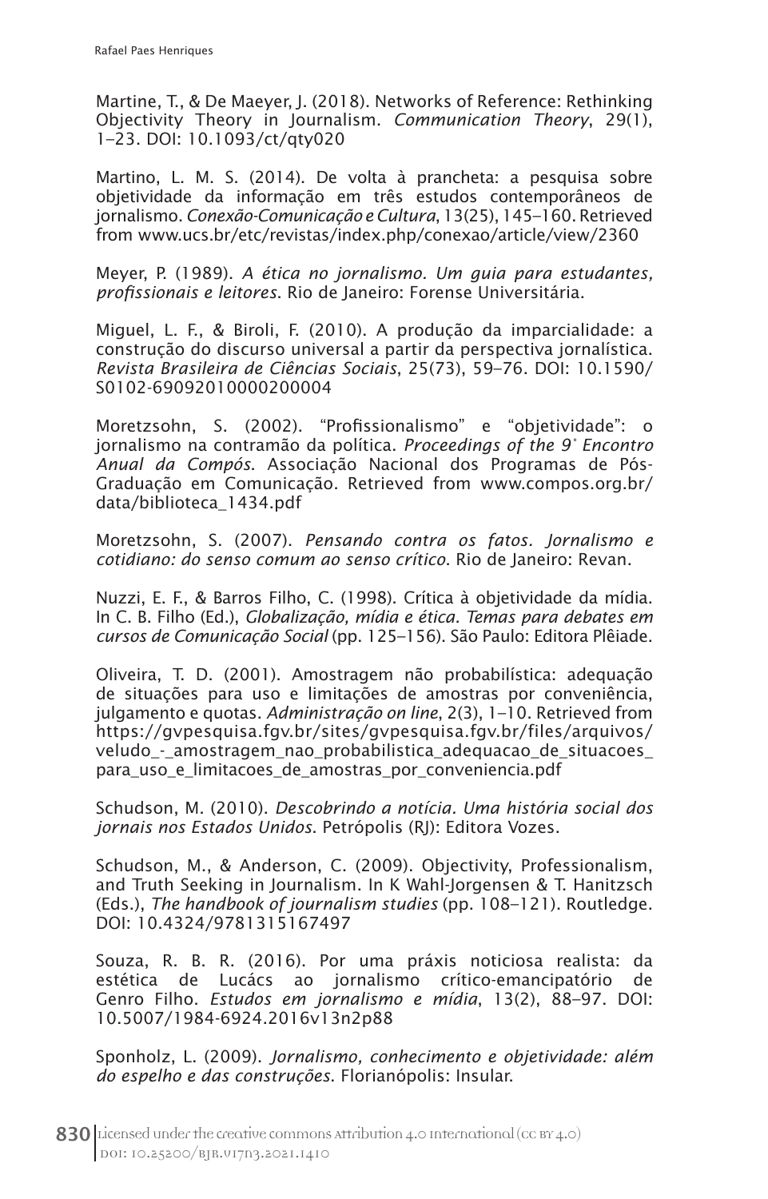Martine, T., & De Maeyer, J. (2018). Networks of Reference: Rethinking Objectivity Theory in Journalism. *Communication Theory*, 29(1), 1–23. DOI: 10.1093/ct/qty020

Martino, L. M. S. (2014). De volta à prancheta: a pesquisa sobre objetividade da informação em três estudos contemporâneos de jornalismo. *Conexão-Comunicação e Cultura*, 13(25), 145–160. Retrieved from www.ucs.br/etc/revistas/index.php/conexao/article/view/2360

Meyer, P. (1989). *A ética no jornalismo. Um guia para estudantes, profissionais e leitores*. Rio de Janeiro: Forense Universitária.

Miguel, L. F., & Biroli, F. (2010). A produção da imparcialidade: a construção do discurso universal a partir da perspectiva jornalística. *Revista Brasileira de Ciências Sociais*, 25(73), 59–76. DOI: 10.1590/ S0102-69092010000200004

Moretzsohn, S. (2002). "Profissionalismo" e "objetividade": o jornalismo na contramão da política. *Proceedings of the 9° Encontro Anual da Compós*. Associação Nacional dos Programas de Pós-Graduação em Comunicação. Retrieved from www.compos.org.br/ data/biblioteca\_1434.pdf

Moretzsohn, S. (2007). *Pensando contra os fatos. Jornalismo e cotidiano: do senso comum ao senso crítico*. Rio de Janeiro: Revan.

Nuzzi, E. F., & Barros Filho, C. (1998). Crítica à objetividade da mídia. In C. B. Filho (Ed.), *Globalização, mídia e ética. Temas para debates em cursos de Comunicação Social* (pp. 125–156). São Paulo: Editora Plêiade.

Oliveira, T. D. (2001). Amostragem não probabilística: adequação de situações para uso e limitações de amostras por conveniência, julgamento e quotas. *Administração on line*, 2(3), 1–10. Retrieved from https://gvpesquisa.fgv.br/sites/gvpesquisa.fgv.br/files/arquivos/ veludo\_-\_amostragem\_nao\_probabilistica\_adequacao\_de\_situacoes\_ para uso e limitacoes de amostras por conveniencia.pdf

Schudson, M. (2010). *Descobrindo a notícia. Uma história social dos jornais nos Estados Unidos*. Petrópolis (RJ): Editora Vozes.

Schudson, M., & Anderson, C. (2009). Objectivity, Professionalism, and Truth Seeking in Journalism. In K Wahl-Jorgensen & T. Hanitzsch (Eds.), *The handbook of journalism studies* (pp. 108–121). Routledge. DOI: 10.4324/9781315167497

Souza, R. B. R. (2016). Por uma práxis noticiosa realista: da estética de Lucács ao jornalismo crítico-emancipatório de Genro Filho. *Estudos em jornalismo e mídia*, 13(2), 88–97. DOI: 10.5007/1984-6924.2016v13n2p88

Sponholz, L. (2009). *Jornalismo, conhecimento e objetividade: além do espelho e das construções*. Florianópolis: Insular.